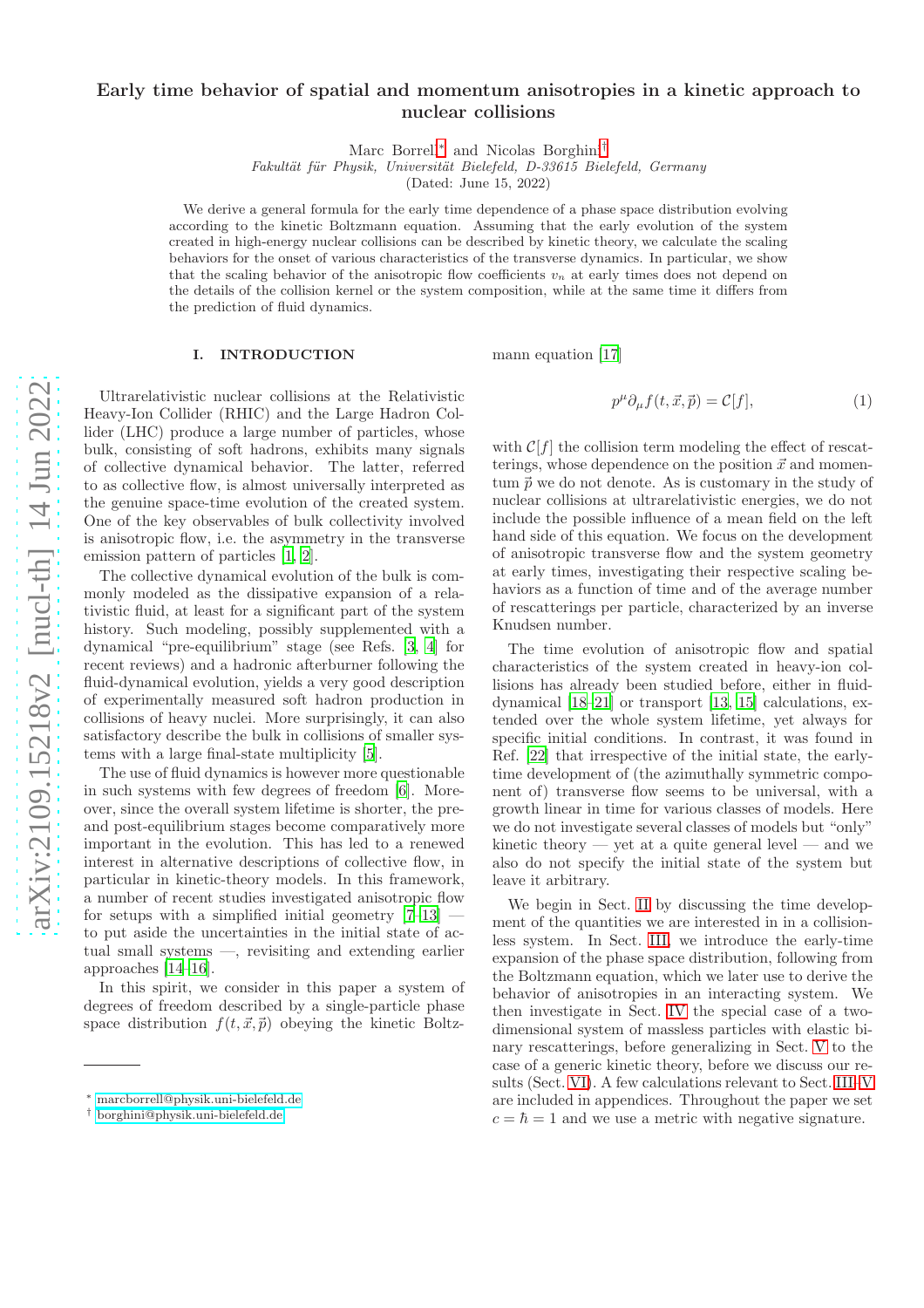# Early time behavior of spatial and momentum anisotropies in a kinetic approach to nuclear collisions

Marc Borrell[∗](#page-0-0) and Nicolas Borghini[†](#page-0-1)

Fakultät für Physik, Universität Bielefeld, D-33615 Bielefeld, Germany

(Dated: June 15, 2022)

We derive a general formula for the early time dependence of a phase space distribution evolving according to the kinetic Boltzmann equation. Assuming that the early evolution of the system created in high-energy nuclear collisions can be described by kinetic theory, we calculate the scaling behaviors for the onset of various characteristics of the transverse dynamics. In particular, we show that the scaling behavior of the anisotropic flow coefficients  $v_n$  at early times does not depend on the details of the collision kernel or the system composition, while at the same time it differs from the prediction of fluid dynamics.

#### I. INTRODUCTION

mann equation [\[17](#page-13-10)]

Ultrarelativistic nuclear collisions at the Relativistic Heavy-Ion Collider (RHIC) and the Large Hadron Collider (LHC) produce a large number of particles, whose bulk, consisting of soft hadrons, exhibits many signals of collective dynamical behavior. The latter, referred to as collective flow, is almost universally interpreted as the genuine space-time evolution of the created system. One of the key observables of bulk collectivity involved is anisotropic flow, i.e. the asymmetry in the transverse emission pattern of particles [\[1,](#page-13-0) [2\]](#page-13-1).

The collective dynamical evolution of the bulk is commonly modeled as the dissipative expansion of a relativistic fluid, at least for a significant part of the system history. Such modeling, possibly supplemented with a dynamical "pre-equilibrium" stage (see Refs. [\[3](#page-13-2), [4\]](#page-13-3) for recent reviews) and a hadronic afterburner following the fluid-dynamical evolution, yields a very good description of experimentally measured soft hadron production in collisions of heavy nuclei. More surprisingly, it can also satisfactory describe the bulk in collisions of smaller systems with a large final-state multiplicity [\[5\]](#page-13-4).

The use of fluid dynamics is however more questionable in such systems with few degrees of freedom [\[6\]](#page-13-5). Moreover, since the overall system lifetime is shorter, the preand post-equilibrium stages become comparatively more important in the evolution. This has led to a renewed interest in alternative descriptions of collective flow, in particular in kinetic-theory models. In this framework, a number of recent studies investigated anisotropic flow for setups with a simplified initial geometry  $[7-13]$  to put aside the uncertainties in the initial state of actual small systems —, revisiting and extending earlier approaches [\[14](#page-13-8)[–16\]](#page-13-9).

In this spirit, we consider in this paper a system of degrees of freedom described by a single-particle phase space distribution  $f(t, \vec{x}, \vec{p})$  obeying the kinetic Boltz-

<span id="page-0-2"></span>
$$
p^{\mu}\partial_{\mu}f(t,\vec{x},\vec{p}) = \mathcal{C}[f],\tag{1}
$$

with  $\mathcal{C}[f]$  the collision term modeling the effect of rescatterings, whose dependence on the position  $\vec{x}$  and momentum  $\vec{p}$  we do not denote. As is customary in the study of nuclear collisions at ultrarelativistic energies, we do not include the possible influence of a mean field on the left hand side of this equation. We focus on the development of anisotropic transverse flow and the system geometry at early times, investigating their respective scaling behaviors as a function of time and of the average number of rescatterings per particle, characterized by an inverse Knudsen number.

The time evolution of anisotropic flow and spatial characteristics of the system created in heavy-ion collisions has already been studied before, either in fluiddynamical [\[18](#page-13-11)[–21\]](#page-13-12) or transport [\[13,](#page-13-7) [15](#page-13-13)] calculations, extended over the whole system lifetime, yet always for specific initial conditions. In contrast, it was found in Ref. [\[22](#page-13-14)] that irrespective of the initial state, the earlytime development of (the azimuthally symmetric component of) transverse flow seems to be universal, with a growth linear in time for various classes of models. Here we do not investigate several classes of models but "only" kinetic theory — yet at a quite general level — and we also do not specify the initial state of the system but leave it arbitrary.

We begin in Sect. [II](#page-1-0) by discussing the time development of the quantities we are interested in in a collisionless system. In Sect. [III,](#page-2-0) we introduce the early-time expansion of the phase space distribution, following from the Boltzmann equation, which we later use to derive the behavior of anisotropies in an interacting system. We then investigate in Sect. [IV](#page-4-0) the special case of a twodimensional system of massless particles with elastic binary rescatterings, before generalizing in Sect. [V](#page-8-0) to the case of a generic kinetic theory, before we discuss our results (Sect. [VI\)](#page-10-0). A few calculations relevant to Sect. [III–](#page-2-0)[V](#page-8-0) are included in appendices. Throughout the paper we set  $c = \hbar = 1$  and we use a metric with negative signature.

<span id="page-0-0"></span><sup>∗</sup> [marcborrell@physik.uni-bielefeld.de](mailto:marcborrell@physik.uni-bielefeld.de)

<span id="page-0-1"></span><sup>†</sup> [borghini@physik.uni-bielefeld.de](mailto:borghini@physik.uni-bielefeld.de)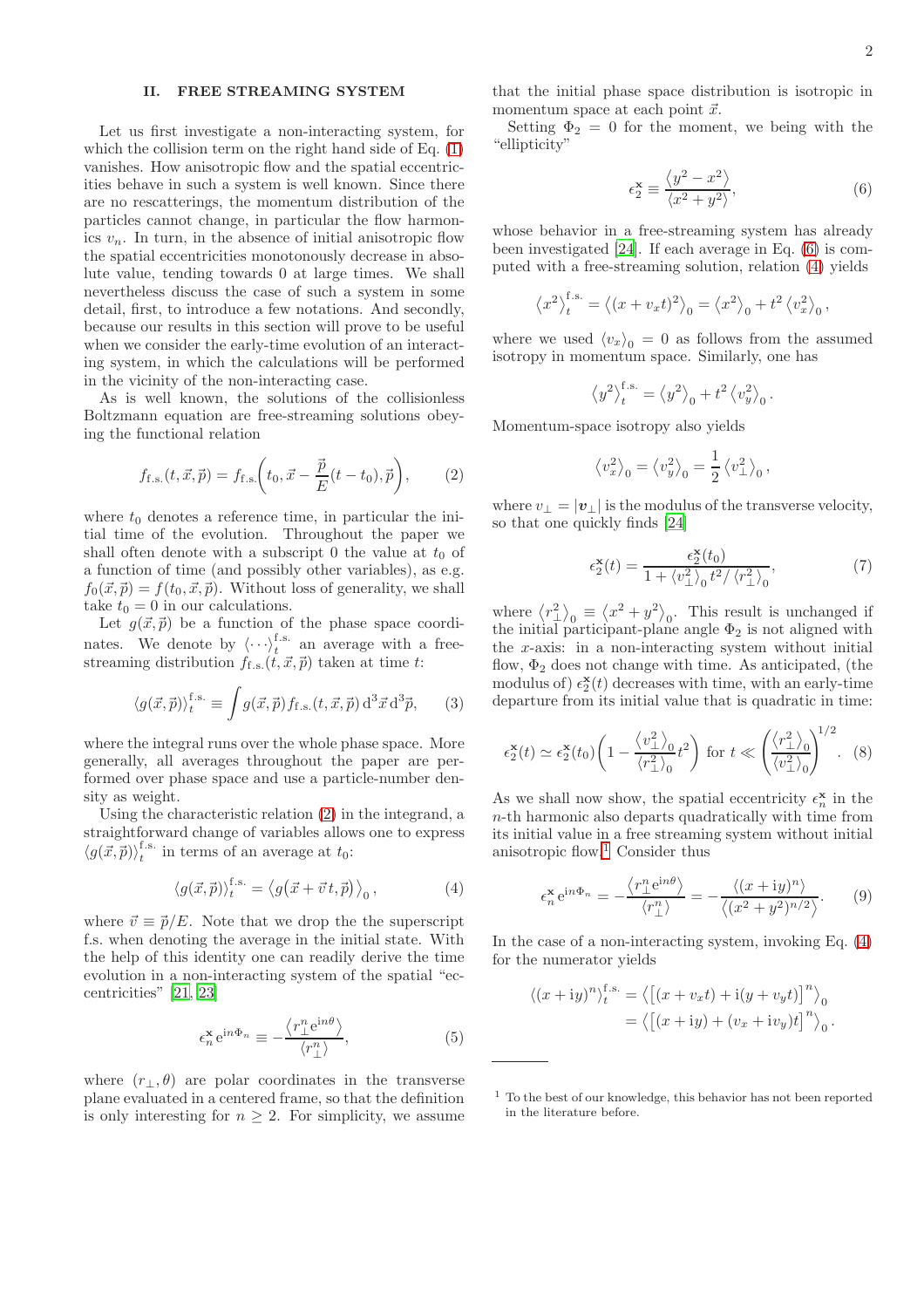### <span id="page-1-0"></span>II. FREE STREAMING SYSTEM

Let us first investigate a non-interacting system, for which the collision term on the right hand side of Eq.  $(1)$ vanishes. How anisotropic flow and the spatial eccentricities behave in such a system is well known. Since there are no rescatterings, the momentum distribution of the particles cannot change, in particular the flow harmonics  $v_n$ . In turn, in the absence of initial anisotropic flow the spatial eccentricities monotonously decrease in absolute value, tending towards 0 at large times. We shall nevertheless discuss the case of such a system in some detail, first, to introduce a few notations. And secondly, because our results in this section will prove to be useful when we consider the early-time evolution of an interacting system, in which the calculations will be performed in the vicinity of the non-interacting case.

As is well known, the solutions of the collisionless Boltzmann equation are free-streaming solutions obeying the functional relation

<span id="page-1-1"></span>
$$
f_{\text{f.s.}}(t, \vec{x}, \vec{p}) = f_{\text{f.s.}}\left(t_0, \vec{x} - \frac{\vec{p}}{E}(t - t_0), \vec{p}\right),
$$
 (2)

where  $t_0$  denotes a reference time, in particular the initial time of the evolution. Throughout the paper we shall often denote with a subscript 0 the value at  $t_0$  of a function of time (and possibly other variables), as e.g.  $f_0(\vec{x}, \vec{p}) = f(t_0, \vec{x}, \vec{p})$ . Without loss of generality, we shall take  $t_0 = 0$  in our calculations.

Let  $g(\vec{x}, \vec{p})$  be a function of the phase space coordinates. We denote by  $\langle \cdots \rangle_t^{\text{f.s.}}$  an average with a freestreaming distribution  $f_{f.s.}(t, \vec{x}, \vec{p})$  taken at time t:

$$
\langle g(\vec{x}, \vec{p}) \rangle_t^{\text{f.s.}} \equiv \int g(\vec{x}, \vec{p}) f_{\text{f.s.}}(t, \vec{x}, \vec{p}) \, \mathrm{d}^3 \vec{x} \, \mathrm{d}^3 \vec{p}, \qquad (3)
$$

where the integral runs over the whole phase space. More generally, all averages throughout the paper are performed over phase space and use a particle-number density as weight.

Using the characteristic relation [\(2\)](#page-1-1) in the integrand, a straightforward change of variables allows one to express  $\langle g(\vec{x}, \vec{p}) \rangle_t^{\text{f.s.}}$  $t_t^{1.8}$  in terms of an average at  $t_0$ :

<span id="page-1-3"></span>
$$
\langle g(\vec{x}, \vec{p}) \rangle_t^{\text{f.s.}} = \langle g(\vec{x} + \vec{v}t, \vec{p}) \rangle_0, \tag{4}
$$

where  $\vec{v} \equiv \vec{p}/E$ . Note that we drop the the superscript f.s. when denoting the average in the initial state. With the help of this identity one can readily derive the time evolution in a non-interacting system of the spatial "eccentricities" [\[21,](#page-13-12) [23\]](#page-13-15)

<span id="page-1-7"></span>
$$
\epsilon_n^{\mathbf{x}} e^{\mathrm{i}n\Phi_n} \equiv -\frac{\langle r_\perp^n e^{\mathrm{i}n\theta} \rangle}{\langle r_\perp^n \rangle},\tag{5}
$$

where  $(r_\perp,\theta)$  are polar coordinates in the transverse plane evaluated in a centered frame, so that the definition is only interesting for  $n > 2$ . For simplicity, we assume that the initial phase space distribution is isotropic in momentum space at each point  $\vec{x}$ .

Setting  $\Phi_2 = 0$  for the moment, we being with the "ellipticity"

<span id="page-1-2"></span>
$$
\epsilon_2^{\mathbf{x}} \equiv \frac{\langle y^2 - x^2 \rangle}{\langle x^2 + y^2 \rangle},\tag{6}
$$

whose behavior in a free-streaming system has already been investigated [\[24](#page-13-16)]. If each average in Eq. [\(6\)](#page-1-2) is computed with a free-streaming solution, relation [\(4\)](#page-1-3) yields

$$
\left\langle x^2 \right\rangle_t^{\text{f.s.}} = \left\langle (x + v_x t)^2 \right\rangle_0 = \left\langle x^2 \right\rangle_0 + t^2 \left\langle v_x^2 \right\rangle_0,
$$

where we used  $\langle v_x \rangle_0 = 0$  as follows from the assumed isotropy in momentum space. Similarly, one has

$$
\left\langle y^2 \right\rangle_t^{\text{f.s.}} = \left\langle y^2 \right\rangle_0 + t^2 \left\langle v_y^2 \right\rangle_0.
$$

Momentum-space isotropy also yields

$$
\langle v_x^2 \rangle_0 = \langle v_y^2 \rangle_0 = \frac{1}{2} \langle v_\perp^2 \rangle_0
$$
,

where  $v_{\perp} = |\mathbf{v}_{\perp}|$  is the modulus of the transverse velocity, so that one quickly finds [\[24](#page-13-16)]

$$
\epsilon_2^{\mathbf{x}}(t) = \frac{\epsilon_2^{\mathbf{x}}(t_0)}{1 + \langle v_\perp^2 \rangle_0 t^2 / \langle r_\perp^2 \rangle_0},\tag{7}
$$

where  $\langle r_{\perp}^2 \rangle_0 \equiv \langle x^2 + y^2 \rangle_0$ . This result is unchanged if the initial participant-plane angle  $\Phi_2$  is not aligned with the x-axis: in a non-interacting system without initial flow,  $\Phi_2$  does not change with time. As anticipated, (the modulus of)  $\epsilon_2^{\mathbf{x}}(t)$  decreases with time, with an early-time departure from its initial value that is quadratic in time:

<span id="page-1-6"></span>
$$
\epsilon_2^{\mathbf{x}}(t) \simeq \epsilon_2^{\mathbf{x}}(t_0) \left( 1 - \frac{\langle v_\perp^2 \rangle_0}{\langle r_\perp^2 \rangle_0} t^2 \right) \text{ for } t \ll \left( \frac{\langle r_\perp^2 \rangle_0}{\langle v_\perp^2 \rangle_0} \right)^{1/2} . \tag{8}
$$

As we shall now show, the spatial eccentricity  $\epsilon_n^{\mathbf{x}}$  in the n-th harmonic also departs quadratically with time from its initial value in a free streaming system without initial anisotropic flow.<sup>[1](#page-1-4)</sup> Consider thus

<span id="page-1-5"></span>
$$
\epsilon_n^{\mathbf{x}} e^{in\Phi_n} = -\frac{\langle r^n_{\perp} e^{in\theta} \rangle}{\langle r^n_{\perp} \rangle} = -\frac{\langle (x+iy)^n \rangle}{\langle (x^2+y^2)^{n/2} \rangle}.
$$
 (9)

In the case of a non-interacting system, invoking Eq. [\(4\)](#page-1-3) for the numerator yields

$$
\langle (x+iy)^n \rangle_t^{f.s.} = \langle \left[ (x+vxt) + i(y+vyt) \right]^n \rangle_0
$$
  
=  $\langle \left[ (x+iy) + (v_x + iv_y)t \right]^n \rangle_0.$ 

<span id="page-1-4"></span><sup>1</sup> To the best of our knowledge, this behavior has not been reported in the literature before.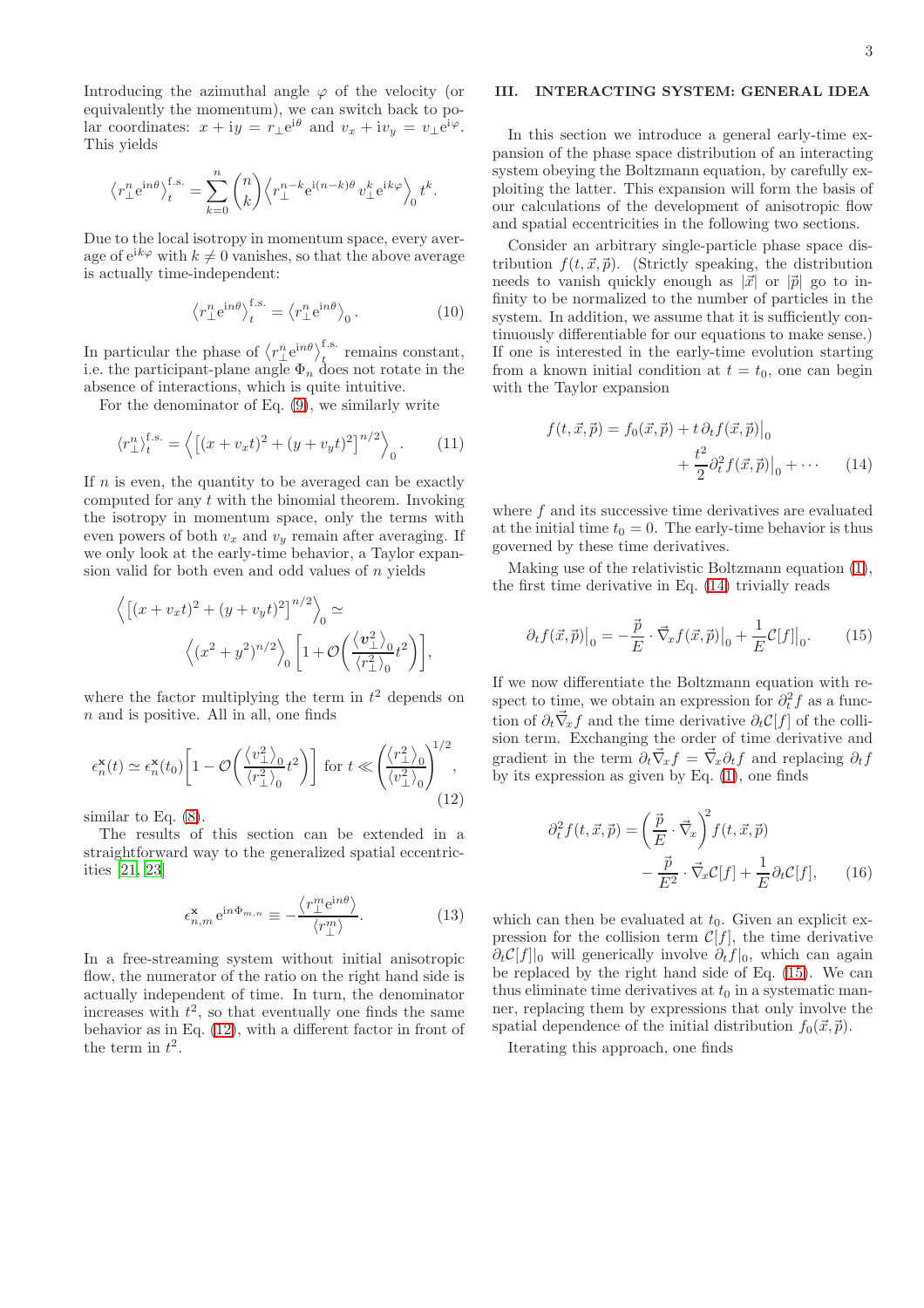Introducing the azimuthal angle  $\varphi$  of the velocity (or equivalently the momentum), we can switch back to polar coordinates:  $x + iy = r_{\perp}e^{i\theta}$  and  $v_x + iv_y = v_{\perp}e^{i\varphi}$ . This yields

$$
\big\langle r_\perp^n{\rm e}^{{\rm i} n\theta}\big\rangle_t^{\rm f.s.} = \sum_{k=0}^n \binom{n}{k} \Big\langle r_\perp^{n-k}{\rm e}^{{\rm i} (n-k)\theta}\,v_\perp^k{\rm e}^{{\rm i} k\varphi}\Big\rangle_0\,t^k.
$$

Due to the local isotropy in momentum space, every average of  $e^{ik\varphi}$  with  $k \neq 0$  vanishes, so that the above average is actually time-independent:

<span id="page-2-5"></span>
$$
\left\langle r_{\perp}^{n}e^{in\theta}\right\rangle_{t}^{\text{f.s.}} = \left\langle r_{\perp}^{n}e^{in\theta}\right\rangle_{0}.
$$
 (10)

In particular the phase of  $\langle r_{\perp}^{n} e^{in\theta} \rangle_{t}^{\text{f.s.}}$  remains constant, i.e. the participant-plane angle  $\Phi_n$  does not rotate in the absence of interactions, which is quite intuitive.

For the denominator of Eq. [\(9\)](#page-1-5), we similarly write

$$
\langle r_{\perp}^n \rangle_t^{\text{f.s.}} = \left\langle \left[ (x + v_x t)^2 + (y + v_y t)^2 \right]^{n/2} \right\rangle_0. \tag{11}
$$

If  $n$  is even, the quantity to be averaged can be exactly computed for any  $t$  with the binomial theorem. Invoking the isotropy in momentum space, only the terms with even powers of both  $v_x$  and  $v_y$  remain after averaging. If we only look at the early-time behavior, a Taylor expansion valid for both even and odd values of  $n$  yields

$$
\left\langle \left[ (x+v_x t)^2 + (y+v_y t)^2 \right]^{n/2} \right\rangle_0 \simeq
$$

$$
\left\langle (x^2 + y^2)^{n/2} \right\rangle_0 \left[ 1 + \mathcal{O}\left( \frac{\langle v_\perp^2 \rangle_0}{\langle r_\perp^2 \rangle_0} t^2 \right) \right],
$$

where the factor multiplying the term in  $t^2$  depends on  $n$  and is positive. All in all, one finds

<span id="page-2-1"></span>
$$
\epsilon_n^{\mathbf{x}}(t) \simeq \epsilon_n^{\mathbf{x}}(t_0) \left[ 1 - \mathcal{O}\left(\frac{\langle v_\perp^2 \rangle_0}{\langle r_\perp^2 \rangle_0} t^2\right) \right] \text{ for } t \ll \left(\frac{\langle r_\perp^2 \rangle_0}{\langle v_\perp^2 \rangle_0}\right)^{1/2},\tag{12}
$$

similar to Eq. [\(8\)](#page-1-6).

The results of this section can be extended in a straightforward way to the generalized spatial eccentricities [\[21,](#page-13-12) [23\]](#page-13-15)

<span id="page-2-4"></span>
$$
\epsilon_{n,m}^{\mathbf{x}} e^{\mathrm{i}n\Phi_{m,n}} \equiv -\frac{\langle r_{\perp}^m e^{\mathrm{i}n\theta} \rangle}{\langle r_{\perp}^m \rangle}.
$$
 (13)

In a free-streaming system without initial anisotropic flow, the numerator of the ratio on the right hand side is actually independent of time. In turn, the denominator increases with  $t^2$ , so that eventually one finds the same behavior as in Eq. [\(12\)](#page-2-1), with a different factor in front of the term in  $t^2$ .

### <span id="page-2-0"></span>III. INTERACTING SYSTEM: GENERAL IDEA

In this section we introduce a general early-time expansion of the phase space distribution of an interacting system obeying the Boltzmann equation, by carefully exploiting the latter. This expansion will form the basis of our calculations of the development of anisotropic flow and spatial eccentricities in the following two sections.

Consider an arbitrary single-particle phase space distribution  $f(t, \vec{x}, \vec{p})$ . (Strictly speaking, the distribution needs to vanish quickly enough as  $|\vec{x}|$  or  $|\vec{p}|$  go to infinity to be normalized to the number of particles in the system. In addition, we assume that it is sufficiently continuously differentiable for our equations to make sense.) If one is interested in the early-time evolution starting from a known initial condition at  $t = t_0$ , one can begin with the Taylor expansion

<span id="page-2-2"></span>
$$
f(t, \vec{x}, \vec{p}) = f_0(\vec{x}, \vec{p}) + t \partial_t f(\vec{x}, \vec{p}) \Big|_0
$$
  
+ 
$$
\frac{t^2}{2} \partial_t^2 f(\vec{x}, \vec{p}) \Big|_0 + \cdots \qquad (14)
$$

where  $f$  and its successive time derivatives are evaluated at the initial time  $t_0 = 0$ . The early-time behavior is thus governed by these time derivatives.

Making use of the relativistic Boltzmann equation [\(1\)](#page-0-2), the first time derivative in Eq. [\(14\)](#page-2-2) trivially reads

<span id="page-2-3"></span>
$$
\partial_t f(\vec{x}, \vec{p})\big|_0 = -\frac{\vec{p}}{E} \cdot \vec{\nabla}_x f(\vec{x}, \vec{p})\big|_0 + \frac{1}{E} \mathcal{C}[f]\big|_0.
$$
 (15)

If we now differentiate the Boltzmann equation with respect to time, we obtain an expression for  $\partial_t^2 f$  as a function of  $\partial_t \vec{\nabla}_x f$  and the time derivative  $\partial_t \mathcal{C}[f]$  of the collision term. Exchanging the order of time derivative and gradient in the term  $\partial_t \vec{\nabla}_x f = \vec{\nabla}_x \partial_t f$  and replacing  $\partial_t f$ by its expression as given by Eq.  $(1)$ , one finds

$$
\partial_t^2 f(t, \vec{x}, \vec{p}) = \left(\frac{\vec{p}}{E} \cdot \vec{\nabla}_x\right)^2 f(t, \vec{x}, \vec{p})
$$

$$
-\frac{\vec{p}}{E^2} \cdot \vec{\nabla}_x \mathcal{C}[f] + \frac{1}{E} \partial_t \mathcal{C}[f], \qquad (16)
$$

which can then be evaluated at  $t_0$ . Given an explicit expression for the collision term  $\mathcal{C}[f]$ , the time derivative  $\partial_t \mathcal{C}[f]|_0$  will generically involve  $\partial_t f|_0$ , which can again be replaced by the right hand side of Eq. [\(15\)](#page-2-3). We can thus eliminate time derivatives at  $t_0$  in a systematic manner, replacing them by expressions that only involve the spatial dependence of the initial distribution  $f_0(\vec{x}, \vec{p})$ .

Iterating this approach, one finds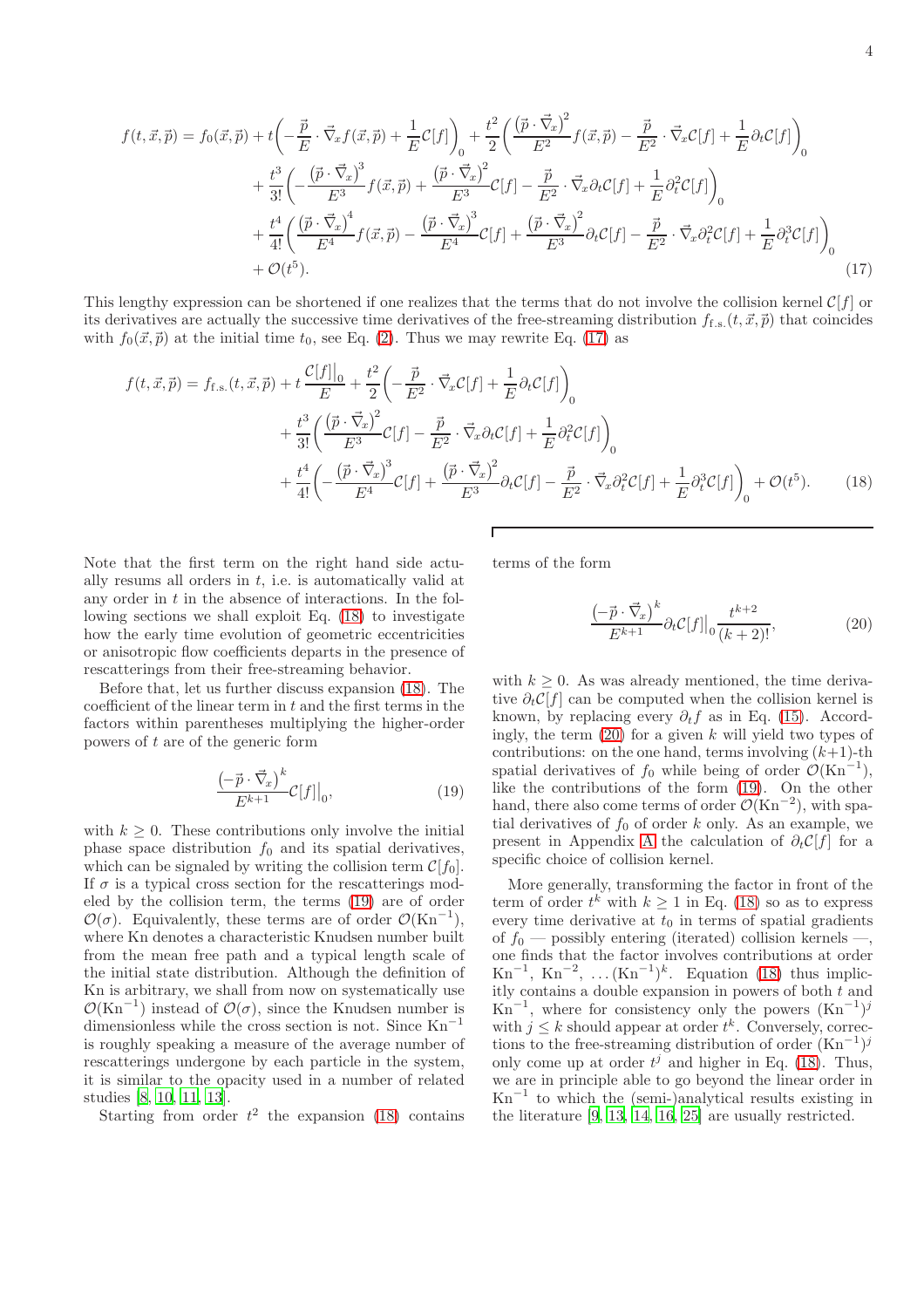$$
f(t, \vec{x}, \vec{p}) = f_0(\vec{x}, \vec{p}) + t \left( -\frac{\vec{p}}{E} \cdot \vec{\nabla}_x f(\vec{x}, \vec{p}) + \frac{1}{E} \mathcal{C}[f] \right)_0 + \frac{t^2}{2} \left( \frac{(\vec{p} \cdot \vec{\nabla}_x)^2}{E^2} f(\vec{x}, \vec{p}) - \frac{\vec{p}}{E^2} \cdot \vec{\nabla}_x \mathcal{C}[f] + \frac{1}{E} \partial_t \mathcal{C}[f] \right)_0 + \frac{t^3}{3!} \left( -\frac{(\vec{p} \cdot \vec{\nabla}_x)^3}{E^3} f(\vec{x}, \vec{p}) + \frac{(\vec{p} \cdot \vec{\nabla}_x)^2}{E^3} \mathcal{C}[f] - \frac{\vec{p}}{E^2} \cdot \vec{\nabla}_x \partial_t \mathcal{C}[f] + \frac{1}{E} \partial_t^2 \mathcal{C}[f] \right)_0 + \frac{t^4}{4!} \left( \frac{(\vec{p} \cdot \vec{\nabla}_x)^4}{E^4} f(\vec{x}, \vec{p}) - \frac{(\vec{p} \cdot \vec{\nabla}_x)^3}{E^4} \mathcal{C}[f] + \frac{(\vec{p} \cdot \vec{\nabla}_x)^2}{E^3} \partial_t \mathcal{C}[f] - \frac{\vec{p}}{E^2} \cdot \vec{\nabla}_x \partial_t^2 \mathcal{C}[f] + \frac{1}{E} \partial_t^3 \mathcal{C}[f] \right)_0 + \mathcal{O}(t^5).
$$
\n(17)

This lengthy expression can be shortened if one realizes that the terms that do not involve the collision kernel  $C[f]$  or its derivatives are actually the successive time derivatives of the free-streaming distribution  $f_{f,s}(t, \vec{x}, \vec{p})$  that coincides with  $f_0(\vec{x}, \vec{p})$  at the initial time  $t_0$ , see Eq. [\(2\)](#page-1-1). Thus we may rewrite Eq. [\(17\)](#page-3-0) as

$$
f(t, \vec{x}, \vec{p}) = f_{\text{f.s.}}(t, \vec{x}, \vec{p}) + t \frac{\mathcal{C}[f]|_{0}}{E} + \frac{t^{2}}{2} \left( -\frac{\vec{p}}{E^{2}} \cdot \vec{\nabla}_{x} \mathcal{C}[f] + \frac{1}{E} \partial_{t} \mathcal{C}[f] \right)_{0} + \frac{t^{3}}{3!} \left( \frac{\left(\vec{p} \cdot \vec{\nabla}_{x}\right)^{2}}{E^{3}} \mathcal{C}[f] - \frac{\vec{p}}{E^{2}} \cdot \vec{\nabla}_{x} \partial_{t} \mathcal{C}[f] + \frac{1}{E} \partial_{t}^{2} \mathcal{C}[f] \right)_{0} + \frac{t^{4}}{4!} \left( -\frac{\left(\vec{p} \cdot \vec{\nabla}_{x}\right)^{3}}{E^{4}} \mathcal{C}[f] + \frac{\left(\vec{p} \cdot \vec{\nabla}_{x}\right)^{2}}{E^{3}} \partial_{t} \mathcal{C}[f] - \frac{\vec{p}}{E^{2}} \cdot \vec{\nabla}_{x} \partial_{t}^{2} \mathcal{C}[f] + \frac{1}{E} \partial_{t}^{3} \mathcal{C}[f] \right)_{0} + \mathcal{O}(t^{5}).
$$
 (18)

Note that the first term on the right hand side actually resums all orders in  $t$ , i.e. is automatically valid at any order in  $t$  in the absence of interactions. In the following sections we shall exploit Eq. [\(18\)](#page-3-1) to investigate how the early time evolution of geometric eccentricities or anisotropic flow coefficients departs in the presence of rescatterings from their free-streaming behavior.

Before that, let us further discuss expansion [\(18\)](#page-3-1). The coefficient of the linear term in  $t$  and the first terms in the factors within parentheses multiplying the higher-order powers of t are of the generic form

<span id="page-3-2"></span>
$$
\frac{\left(-\vec{p}\cdot\vec{\nabla}_x\right)^k}{E^{k+1}}\mathcal{C}[f]\big|_0,\tag{19}
$$

with  $k \geq 0$ . These contributions only involve the initial phase space distribution  $f_0$  and its spatial derivatives, which can be signaled by writing the collision term  $\mathcal{C}[f_0]$ . If  $\sigma$  is a typical cross section for the rescatterings modeled by the collision term, the terms [\(19\)](#page-3-2) are of order  $\mathcal{O}(\sigma)$ . Equivalently, these terms are of order  $\mathcal{O}(Kn^{-1})$ , where Kn denotes a characteristic Knudsen number built from the mean free path and a typical length scale of the initial state distribution. Although the definition of Kn is arbitrary, we shall from now on systematically use  $\mathcal{O}(Kn^{-1})$  instead of  $\mathcal{O}(\sigma)$ , since the Knudsen number is dimensionless while the cross section is not. Since  $\mathrm{Kn}^{-1}$ is roughly speaking a measure of the average number of rescatterings undergone by each particle in the system, it is similar to the opacity used in a number of related studies [\[8](#page-13-17), [10](#page-13-18), [11](#page-13-19), [13](#page-13-7)].

Starting from order  $t^2$  the expansion [\(18\)](#page-3-1) contains

terms of the form

<span id="page-3-3"></span><span id="page-3-1"></span><span id="page-3-0"></span>
$$
\frac{\left(-\vec{p}\cdot\vec{\nabla}_x\right)^k}{E^{k+1}} \partial_t \mathcal{C}[f] \Big|_0 \frac{t^{k+2}}{(k+2)!},\tag{20}
$$

with  $k \geq 0$ . As was already mentioned, the time derivative  $\partial_t \mathcal{C}[f]$  can be computed when the collision kernel is known, by replacing every  $\partial_t f$  as in Eq. [\(15\)](#page-2-3). Accordingly, the term  $(20)$  for a given k will yield two types of contributions: on the one hand, terms involving  $(k+1)$ -th spatial derivatives of  $f_0$  while being of order  $\mathcal{O}(Kn^{-1}),$ like the contributions of the form [\(19\)](#page-3-2). On the other hand, there also come terms of order  $\mathcal{O}(\mathrm{Kn}^{-2})$ , with spatial derivatives of  $f_0$  of order k only. As an example, we present in [A](#page-11-0)ppendix A the calculation of  $\partial_t C[f]$  for a specific choice of collision kernel.

More generally, transforming the factor in front of the term of order  $t^k$  with  $k \geq 1$  in Eq. [\(18\)](#page-3-1) so as to express every time derivative at  $t_0$  in terms of spatial gradients of  $f_0$  — possibly entering (iterated) collision kernels —, one finds that the factor involves contributions at order  $\mathrm{Kn}^{-1}$ ,  $\mathrm{Kn}^{-2}$ , ... $(\mathrm{Kn}^{-1})^k$ . Equation [\(18\)](#page-3-1) thus implicitly contains a double expansion in powers of both  $t$  and  $\text{Kn}^{-1}$ , where for consistency only the powers  $(\text{Kn}^{-1})^j$ with  $j \leq k$  should appear at order  $t^k$ . Conversely, corrections to the free-streaming distribution of order  $(Kn^{-1})^j$ only come up at order  $t^j$  and higher in Eq. [\(18\)](#page-3-1). Thus, we are in principle able to go beyond the linear order in Kn−<sup>1</sup> to which the (semi-)analytical results existing in the literature [\[9,](#page-13-20) [13,](#page-13-7) [14,](#page-13-8) [16,](#page-13-9) [25\]](#page-13-21) are usually restricted.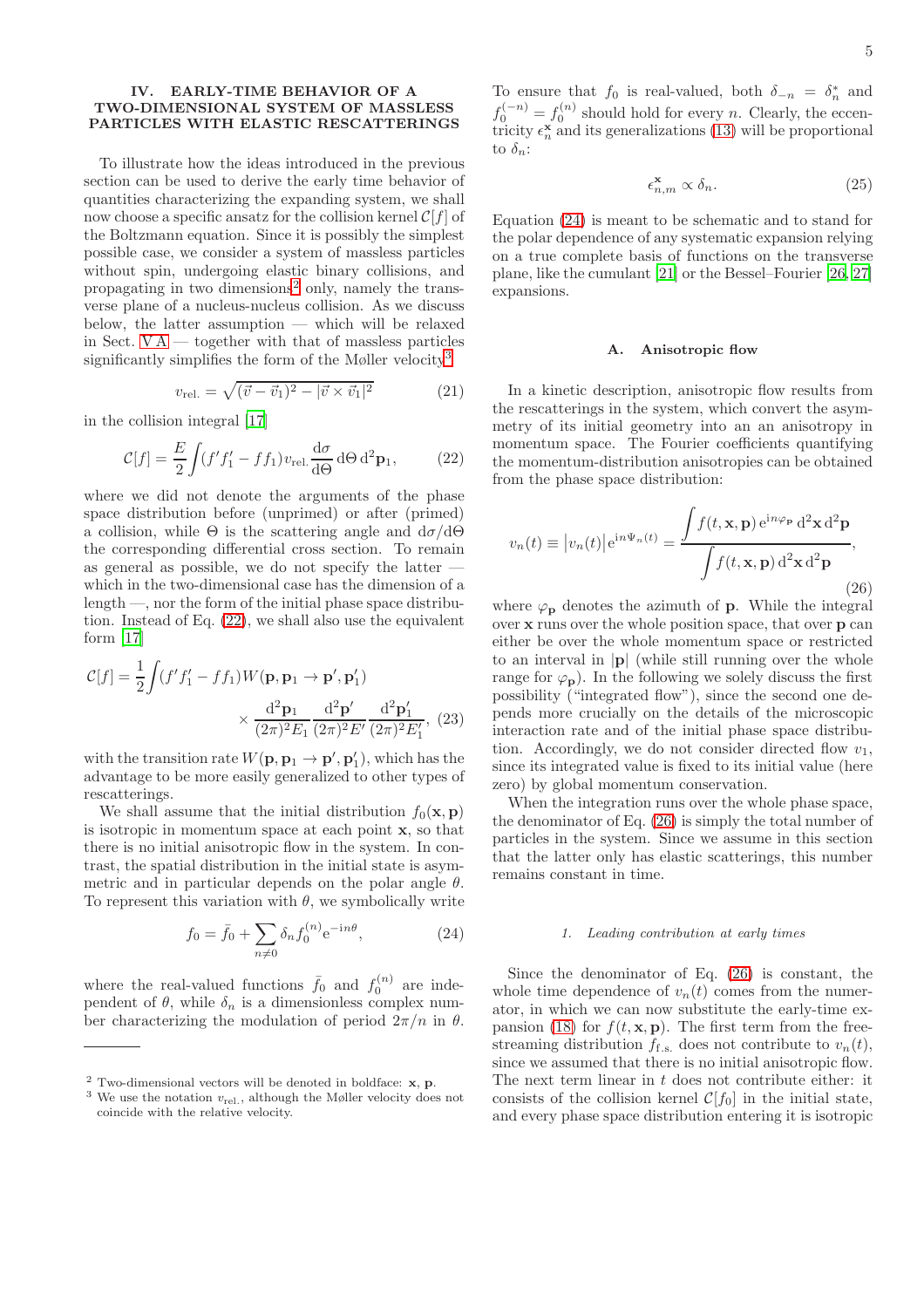### <span id="page-4-0"></span>IV. EARLY-TIME BEHAVIOR OF A TWO-DIMENSIONAL SYSTEM OF MASSLESS PARTICLES WITH ELASTIC RESCATTERINGS

To illustrate how the ideas introduced in the previous section can be used to derive the early time behavior of quantities characterizing the expanding system, we shall now choose a specific ansatz for the collision kernel  $\mathcal{C}[f]$  of the Boltzmann equation. Since it is possibly the simplest possible case, we consider a system of massless particles without spin, undergoing elastic binary collisions, and propagating in two dimensions<sup>[2](#page-4-1)</sup> only, namely the transverse plane of a nucleus-nucleus collision. As we discuss below, the latter assumption — which will be relaxed in Sect.  $VA$  — together with that of massless particles significantly simplifies the form of the Møller velocity<sup>[3](#page-4-2)</sup>

<span id="page-4-6"></span>
$$
v_{\text{rel.}} = \sqrt{(\vec{v} - \vec{v}_1)^2 - |\vec{v} \times \vec{v}_1|^2}
$$
 (21)

in the collision integral [\[17](#page-13-10)]

<span id="page-4-3"></span>
$$
\mathcal{C}[f] = \frac{E}{2} \int (f'f_1' - ff_1)v_{\text{rel}} \frac{d\sigma}{d\Theta} d\Theta d^2 \mathbf{p}_1,\tag{22}
$$

where we did not denote the arguments of the phase space distribution before (unprimed) or after (primed) a collision, while  $\Theta$  is the scattering angle and  $d\sigma/d\Theta$ the corresponding differential cross section. To remain as general as possible, we do not specify the latter which in the two-dimensional case has the dimension of a length —, nor the form of the initial phase space distribution. Instead of Eq. [\(22\)](#page-4-3), we shall also use the equivalent form [\[17](#page-13-10)]

$$
\mathcal{C}[f] = \frac{1}{2} \int (f' f_1' - f f_1) W(\mathbf{p}, \mathbf{p}_1 \to \mathbf{p}', \mathbf{p}'_1) \times \frac{d^2 \mathbf{p}_1}{(2\pi)^2 E_1} \frac{d^2 \mathbf{p}'}{(2\pi)^2 E'} \frac{d^2 \mathbf{p}'_1}{(2\pi)^2 E'_1},
$$
(23)

with the transition rate  $W(\mathbf{p}, \mathbf{p}_1 \to \mathbf{p}', \mathbf{p}'_1)$ , which has the advantage to be more easily generalized to other types of rescatterings.

We shall assume that the initial distribution  $f_0(\mathbf{x}, \mathbf{p})$ is isotropic in momentum space at each point x, so that there is no initial anisotropic flow in the system. In contrast, the spatial distribution in the initial state is asymmetric and in particular depends on the polar angle  $\theta$ . To represent this variation with  $\theta$ , we symbolically write

<span id="page-4-4"></span>
$$
f_0 = \bar{f}_0 + \sum_{n \neq 0} \delta_n f_0^{(n)} e^{-in\theta}, \tag{24}
$$

where the real-valued functions  $\bar{f}_0$  and  $f_0^{(n)}$  are independent of  $\theta$ , while  $\delta_n$  is a dimensionless complex number characterizing the modulation of period  $2\pi/n$  in  $\theta$ .

To ensure that  $f_0$  is real-valued, both  $\delta_{-n} = \delta_n^*$  and  $f_0^{(-n)} = f_0^{(n)}$  should hold for every *n*. Clearly, the eccentricity  $\epsilon_n^{\mathbf{x}}$  and its generalizations [\(13\)](#page-2-4) will be proportional to  $\delta_n$ :

$$
\epsilon_{n,m}^{\mathbf{x}} \propto \delta_n. \tag{25}
$$

Equation [\(24\)](#page-4-4) is meant to be schematic and to stand for the polar dependence of any systematic expansion relying on a true complete basis of functions on the transverse plane, like the cumulant [\[21](#page-13-12)] or the Bessel–Fourier [\[26](#page-13-22), [27](#page-13-23)] expansions.

### <span id="page-4-8"></span>A. Anisotropic flow

In a kinetic description, anisotropic flow results from the rescatterings in the system, which convert the asymmetry of its initial geometry into an an anisotropy in momentum space. The Fourier coefficients quantifying the momentum-distribution anisotropies can be obtained from the phase space distribution:

<span id="page-4-5"></span>
$$
v_n(t) \equiv |v_n(t)| e^{in\Psi_n(t)} = \frac{\int f(t, \mathbf{x}, \mathbf{p}) e^{in\varphi_{\mathbf{p}}} d^2 \mathbf{x} d^2 \mathbf{p}}{\int f(t, \mathbf{x}, \mathbf{p}) d^2 \mathbf{x} d^2 \mathbf{p}},
$$
\n(26)

where  $\varphi_{\mathbf{p}}$  denotes the azimuth of **p**. While the integral over x runs over the whole position space, that over p can either be over the whole momentum space or restricted to an interval in |p| (while still running over the whole range for  $\varphi_p$ ). In the following we solely discuss the first possibility ("integrated flow"), since the second one depends more crucially on the details of the microscopic interaction rate and of the initial phase space distribution. Accordingly, we do not consider directed flow  $v_1$ , since its integrated value is fixed to its initial value (here zero) by global momentum conservation.

<span id="page-4-7"></span>When the integration runs over the whole phase space, the denominator of Eq. [\(26\)](#page-4-5) is simply the total number of particles in the system. Since we assume in this section that the latter only has elastic scatterings, this number remains constant in time.

#### 1. Leading contribution at early times

Since the denominator of Eq. [\(26\)](#page-4-5) is constant, the whole time dependence of  $v_n(t)$  comes from the numerator, in which we can now substitute the early-time ex-pansion [\(18\)](#page-3-1) for  $f(t, \mathbf{x}, \mathbf{p})$ . The first term from the freestreaming distribution  $f_{f,s}$  does not contribute to  $v_n(t)$ , since we assumed that there is no initial anisotropic flow. The next term linear in  $t$  does not contribute either: it consists of the collision kernel  $\mathcal{C}[f_0]$  in the initial state, and every phase space distribution entering it is isotropic

<sup>&</sup>lt;sup>2</sup> Two-dimensional vectors will be denoted in boldface:  $\bf{x}$ ,  $\bf{p}$ .

<span id="page-4-2"></span><span id="page-4-1"></span> $^3$  We use the notation  $v_{\rm rel.}$  , although the Møller velocity does not coincide with the relative velocity.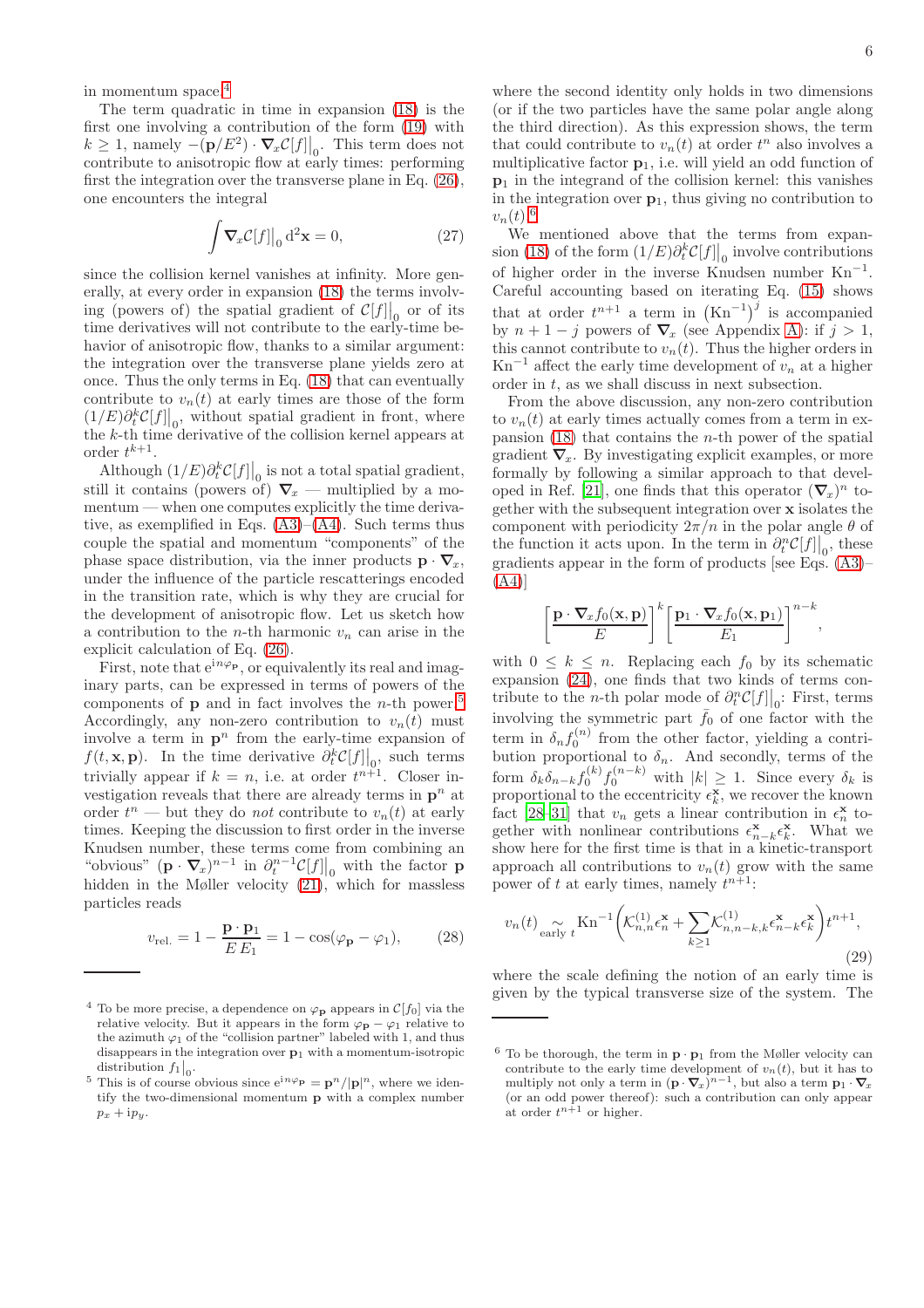in momentum space.[4](#page-5-0)

The term quadratic in time in expansion [\(18\)](#page-3-1) is the first one involving a contribution of the form [\(19\)](#page-3-2) with  $k \geq 1$ , namely  $-\left(\mathbf{p}/E^2\right) \cdot \nabla_x \mathcal{C}[f]\big|_0$ . This term does not contribute to anisotropic flow at early times: performing first the integration over the transverse plane in Eq. [\(26\)](#page-4-5), one encounters the integral

$$
\int \nabla_x \mathcal{C}[f]|_0 \, d^2 \mathbf{x} = 0,\tag{27}
$$

since the collision kernel vanishes at infinity. More generally, at every order in expansion [\(18\)](#page-3-1) the terms involving (powers of) the spatial gradient of  $\mathcal{C}[f]_0$  or of its time derivatives will not contribute to the early-time behavior of anisotropic flow, thanks to a similar argument: the integration over the transverse plane yields zero at once. Thus the only terms in Eq. [\(18\)](#page-3-1) that can eventually contribute to  $v_n(t)$  at early times are those of the form  $(1/E)\partial_t^k C[f]_0$ , without spatial gradient in front, where the k-th time derivative of the collision kernel appears at order  $t^{k+1}$ .

Although  $(1/E)\partial_t^k \mathcal{C}[f]\big|_0$  is not a total spatial gradient, still it contains (powers of)  $\nabla_x$  — multiplied by a momentum — when one computes explicitly the time derivative, as exemplified in Eqs.  $(A3)$ – $(A4)$ . Such terms thus couple the spatial and momentum "components" of the phase space distribution, via the inner products  $\mathbf{p} \cdot \nabla_x$ , under the influence of the particle rescatterings encoded in the transition rate, which is why they are crucial for the development of anisotropic flow. Let us sketch how a contribution to the *n*-th harmonic  $v_n$  can arise in the explicit calculation of Eq. [\(26\)](#page-4-5).

First, note that  $e^{in\varphi_p}$ , or equivalently its real and imaginary parts, can be expressed in terms of powers of the components of  $\bf{p}$  and in fact involves the *n*-th power.<sup>[5](#page-5-1)</sup> Accordingly, any non-zero contribution to  $v_n(t)$  must involve a term in  $p^n$  from the early-time expansion of  $f(t, \mathbf{x}, \mathbf{p})$ . In the time derivative  $\partial_t^k C[f] \Big|_0$ , such terms trivially appear if  $k = n$ , i.e. at order  $t^{n+1}$ . Closer investigation reveals that there are already terms in  $p^n$  at order  $t^n$  — but they do not contribute to  $v_n(t)$  at early times. Keeping the discussion to first order in the inverse Knudsen number, these terms come from combining an "obvious"  $(\mathbf{p} \cdot \nabla_x)^{n-1}$  in  $\partial_t^{n-1} \mathcal{C}[f] \big|_0$  with the factor **p** hidden in the Møller velocity [\(21\)](#page-4-6), which for massless particles reads

<span id="page-5-4"></span>
$$
v_{\text{rel.}} = 1 - \frac{\mathbf{p} \cdot \mathbf{p}_1}{E E_1} = 1 - \cos(\varphi_\mathbf{p} - \varphi_1),\tag{28}
$$

where the second identity only holds in two dimensions (or if the two particles have the same polar angle along the third direction). As this expression shows, the term that could contribute to  $v_n(t)$  at order  $t^n$  also involves a multiplicative factor  $\mathbf{p}_1$ , i.e. will yield an odd function of  $p_1$  in the integrand of the collision kernel: this vanishes in the integration over  $p_1$ , thus giving no contribution to  $v_n(t).^6$  $v_n(t).^6$ 

We mentioned above that the terms from expan-sion [\(18\)](#page-3-1) of the form  $(1/E)\partial_t^k \mathcal{C}[f] \big|_0$  involve contributions of higher order in the inverse Knudsen number  $Kn^{-1}$ . Careful accounting based on iterating Eq. [\(15\)](#page-2-3) shows that at order  $t^{n+1}$  a term in  $(Kn^{-1})^j$  is accompanied by  $n + 1 - j$  powers of  $\nabla_x$  (see Appendix [A\)](#page-11-0): if  $j > 1$ , this cannot contribute to  $v_n(t)$ . Thus the higher orders in  $\text{Kn}^{-1}$  affect the early time development of  $v_n$  at a higher order in t, as we shall discuss in next subsection.

From the above discussion, any non-zero contribution to  $v_n(t)$  at early times actually comes from a term in expansion  $(18)$  that contains the *n*-th power of the spatial gradient  $\nabla_x$ . By investigating explicit examples, or more formally by following a similar approach to that devel-oped in Ref. [\[21\]](#page-13-12), one finds that this operator  $(\nabla_x)^n$  together with the subsequent integration over x isolates the component with periodicity  $2\pi/n$  in the polar angle  $\theta$  of the function it acts upon. In the term in  $\partial_t^n C[f]|_0$ , these gradients appear in the form of products [see Eqs. [\(A3\)](#page-11-1)–  $(A4)$ ]

$$
\left[\frac{\mathbf{p}\cdot\nabla_x f_0(\mathbf{x}, \mathbf{p})}{E}\right]^k \left[\frac{\mathbf{p}_1\cdot\nabla_x f_0(\mathbf{x}, \mathbf{p}_1)}{E_1}\right]^{n-k},\,
$$

with  $0 \leq k \leq n$ . Replacing each  $f_0$  by its schematic expansion [\(24\)](#page-4-4), one finds that two kinds of terms contribute to the *n*-th polar mode of  $\partial_t^n C[f] \Big|_0$ : First, terms involving the symmetric part  $\bar{f}_0$  of one factor with the term in  $\delta_n f_0^{(n)}$  from the other factor, yielding a contribution proportional to  $\delta_n$ . And secondly, terms of the form  $\delta_k \delta_{n-k} f_0^{(k)} f_0^{(n-k)}$  with  $|k| \geq 1$ . Since every  $\delta_k$  is proportional to the eccentricity  $\epsilon_k^{\mathbf{x}}$ , we recover the known fact [\[28](#page-13-24)-31] that  $v_n$  gets a linear contribution in  $\epsilon_n^{\mathbf{x}}$  together with nonlinear contributions  $\epsilon_{n-k}^{\mathbf{x}} \epsilon_k^{\mathbf{x}}$ . What we show here for the first time is that in a kinetic-transport approach all contributions to  $v_n(t)$  grow with the same power of t at early times, namely  $t^{n+1}$ :

<span id="page-5-3"></span>
$$
v_n(t) \underset{\text{early } t}{\sim} \text{Kn}^{-1} \bigg( \mathcal{K}_{n,n}^{(1)} \epsilon_n^{\mathbf{x}} + \sum_{k \ge 1} \mathcal{K}_{n,n-k,k}^{(1)} \epsilon_{n-k}^{\mathbf{x}} \epsilon_k^{\mathbf{x}} \bigg) t^{n+1},\tag{29}
$$

where the scale defining the notion of an early time is given by the typical transverse size of the system. The

<span id="page-5-0"></span><sup>&</sup>lt;sup>4</sup> To be more precise, a dependence on  $\varphi_{\mathbf{p}}$  appears in  $\mathcal{C}[f_0]$  via the relative velocity. But it appears in the form  $\varphi_{\mathbf{p}} - \varphi_1$  relative to the azimuth  $\varphi_1$  of the "collision partner" labeled with 1, and thus disappears in the integration over p1 with a momentum-isotropic distribution  $f_1|_0$ .

<span id="page-5-1"></span><sup>&</sup>lt;sup>5</sup> This is of course obvious since  $e^{in\varphi_p} = p^n/|p|^n$ , where we identify the two-dimensional momentum p with a complex number  $p_x + ip_y.$ 

<span id="page-5-2"></span> $6$  To be thorough, the term in  $\mathbf{p} \cdot \mathbf{p}_1$  from the Møller velocity can contribute to the early time development of  $v_n(t)$ , but it has to multiply not only a term in  $(\mathbf{p} \cdot \nabla_x)^{n-1}$ , but also a term  $\mathbf{p}_1 \cdot \nabla_x$ (or an odd power thereof): such a contribution can only appear at order  $t^{n+1}$  or higher.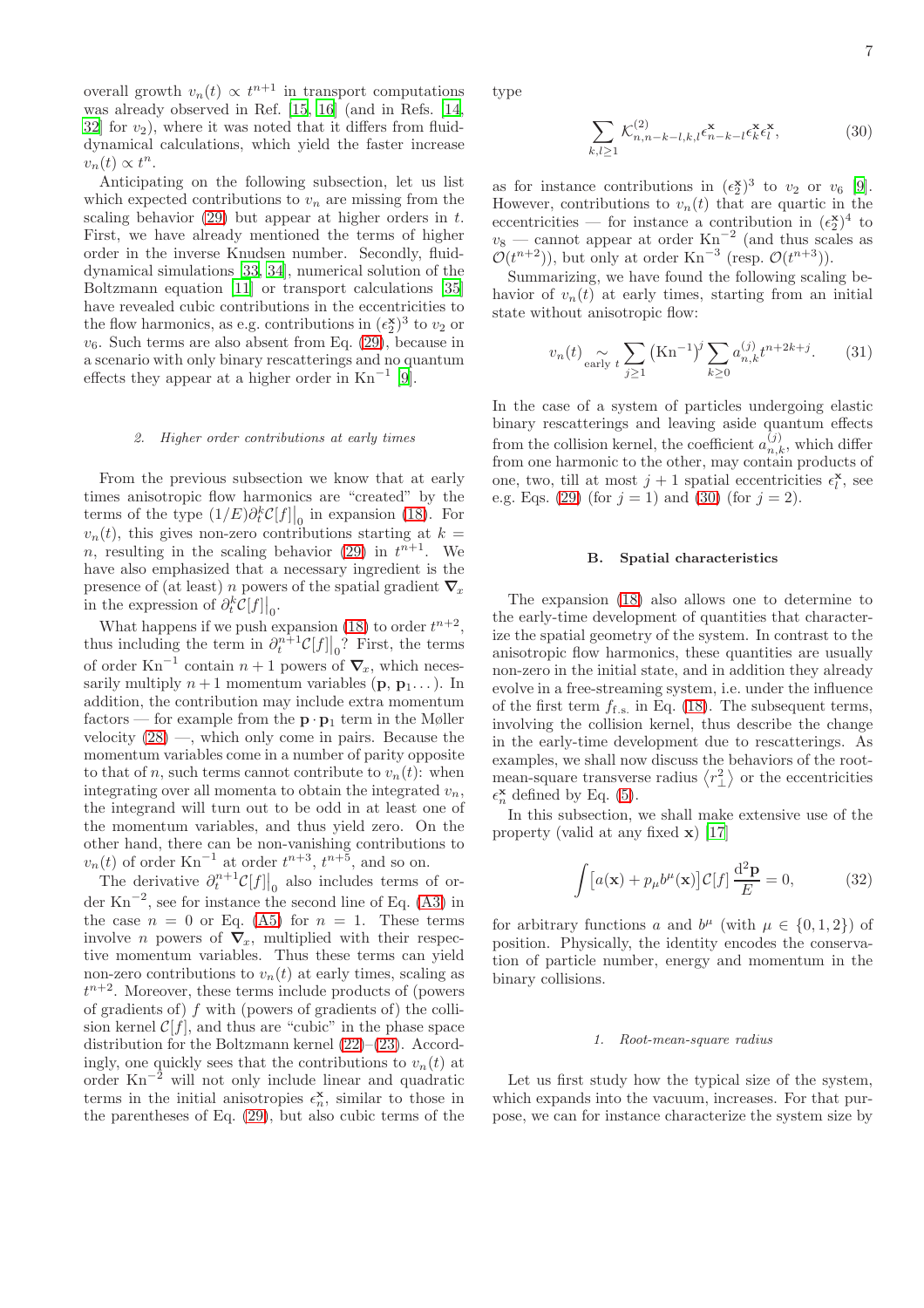overall growth  $v_n(t) \propto t^{n+1}$  in transport computations was already observed in Ref. [\[15](#page-13-13), [16\]](#page-13-9) (and in Refs. [\[14](#page-13-8), [32\]](#page-13-26) for  $v_2$ ), where it was noted that it differs from fluiddynamical calculations, which yield the faster increase  $v_n(t) \propto t^n$ .

Anticipating on the following subsection, let us list which expected contributions to  $v_n$  are missing from the scaling behavior  $(29)$  but appear at higher orders in t. First, we have already mentioned the terms of higher order in the inverse Knudsen number. Secondly, fluiddynamical simulations [\[33,](#page-13-27) [34\]](#page-13-28), numerical solution of the Boltzmann equation [\[11](#page-13-19)] or transport calculations [\[35](#page-14-0)] have revealed cubic contributions in the eccentricities to the flow harmonics, as e.g. contributions in  $(\epsilon_2^{\mathbf{x}})^3$  to  $v_2$  or  $v_6$ . Such terms are also absent from Eq. [\(29\)](#page-5-3), because in a scenario with only binary rescatterings and no quantum effects they appear at a higher order in  $Kn^{-1}$  [\[9](#page-13-20)].

#### 2. Higher order contributions at early times

From the previous subsection we know that at early times anisotropic flow harmonics are "created" by the terms of the type  $(1/E)\partial_t^k \mathcal{C}[f] \big|_0$  in expansion [\(18\)](#page-3-1). For  $v_n(t)$ , this gives non-zero contributions starting at  $k =$ *n*, resulting in the scaling behavior [\(29\)](#page-5-3) in  $t^{n+1}$ . We have also emphasized that a necessary ingredient is the presence of (at least) n powers of the spatial gradient  $\nabla_x$ in the expression of  $\partial_t^k C[f]|_0$ .

What happens if we push expansion [\(18\)](#page-3-1) to order  $t^{n+2}$ , thus including the term in  $\partial_t^{n+1} C[f]|_0?$  First, the terms of order  $Kn^{-1}$  contain  $n + 1$  powers of  $\nabla_x$ , which necessarily multiply  $n+1$  momentum variables (**p**, **p**<sub>1</sub>...). In addition, the contribution may include extra momentum factors — for example from the  $\mathbf{p} \cdot \mathbf{p}_1$  term in the Møller velocity  $(28)$  —, which only come in pairs. Because the momentum variables come in a number of parity opposite to that of n, such terms cannot contribute to  $v_n(t)$ : when integrating over all momenta to obtain the integrated  $v_n$ , the integrand will turn out to be odd in at least one of the momentum variables, and thus yield zero. On the other hand, there can be non-vanishing contributions to  $v_n(t)$  of order Kn<sup>-1</sup> at order  $t^{n+3}$ ,  $t^{n+\overline{5}}$ , and so on.

The derivative  $\partial_t^{n+1} C[f]|_0$  also includes terms of order  $\text{Kn}^{-2}$ , see for instance the second line of Eq. [\(A3\)](#page-11-1) in the case  $n = 0$  or Eq. [\(A5\)](#page-12-1) for  $n = 1$ . These terms involve *n* powers of  $\nabla_x$ , multiplied with their respective momentum variables. Thus these terms can yield non-zero contributions to  $v_n(t)$  at early times, scaling as  $t^{n+2}$ . Moreover, these terms include products of (powers of gradients of)  $f$  with (powers of gradients of) the collision kernel  $\mathcal{C}[f]$ , and thus are "cubic" in the phase space distribution for the Boltzmann kernel [\(22\)](#page-4-3)–[\(23\)](#page-4-7). Accordingly, one quickly sees that the contributions to  $v_n(t)$  at order  $Kn^{-2}$  will not only include linear and quadratic terms in the initial anisotropies  $\epsilon_n^{\mathbf{x}}$ , similar to those in the parentheses of Eq. [\(29\)](#page-5-3), but also cubic terms of the type

<span id="page-6-0"></span>
$$
\sum_{k,l\geq 1} \mathcal{K}_{n,n-k-l,k,l}^{(2)} \epsilon_{n-k-l}^{\mathbf{x}} \epsilon_k^{\mathbf{x}} \epsilon_l^{\mathbf{x}},\tag{30}
$$

as for instance contributions in  $(\epsilon_2^{\mathbf{x}})^3$  to  $v_2$  or  $v_6$  [\[9\]](#page-13-20). However, contributions to  $v_n(t)$  that are quartic in the eccentricities — for instance a contribution in  $(\epsilon_2^{\mathbf{x}})^4$  to eccentricities — for instance a contribution in  $(\epsilon_2)$  to  $v_8$  — cannot appear at order  $Kn^{-2}$  (and thus scales as  $\mathcal{O}(t^{n+2})$ , but only at order Kn<sup>-3</sup> (resp.  $\mathcal{O}(t^{n+3})$ ).

Summarizing, we have found the following scaling behavior of  $v_n(t)$  at early times, starting from an initial state without anisotropic flow:

<span id="page-6-2"></span>
$$
v_n(t) \underset{\text{early } t}{\sim} \sum_{j \ge 1} (\text{Kn}^{-1})^j \sum_{k \ge 0} a_{n,k}^{(j)} t^{n+2k+j}.
$$
 (31)

In the case of a system of particles undergoing elastic binary rescatterings and leaving aside quantum effects from the collision kernel, the coefficient  $a_{n,k}^{(j)}$ , which differ from one harmonic to the other, may contain products of one, two, till at most  $j+1$  spatial eccentricities  $\epsilon_l^{\mathbf{x}}$ , see e.g. Eqs. [\(29\)](#page-5-3) (for  $j = 1$ ) and [\(30\)](#page-6-0) (for  $j = 2$ ).

#### <span id="page-6-3"></span>B. Spatial characteristics

The expansion [\(18\)](#page-3-1) also allows one to determine to the early-time development of quantities that characterize the spatial geometry of the system. In contrast to the anisotropic flow harmonics, these quantities are usually non-zero in the initial state, and in addition they already evolve in a free-streaming system, i.e. under the influence of the first term  $f_{\text{f.s.}}$  in Eq. [\(18\)](#page-3-1). The subsequent terms, involving the collision kernel, thus describe the change in the early-time development due to rescatterings. As examples, we shall now discuss the behaviors of the rootmean-square transverse radius  $\langle r_{\perp}^2 \rangle$  or the eccentricities  $\epsilon_n^{\mathbf{x}}$  defined by Eq. [\(5\)](#page-1-7).

In this subsection, we shall make extensive use of the property (valid at any fixed x) [\[17\]](#page-13-10)

<span id="page-6-1"></span>
$$
\int [a(\mathbf{x}) + p_{\mu}b^{\mu}(\mathbf{x})] \mathcal{C}[f] \frac{\mathrm{d}^2 \mathbf{p}}{E} = 0,
$$
 (32)

for arbitrary functions a and  $b^{\mu}$  (with  $\mu \in \{0, 1, 2\}$ ) of position. Physically, the identity encodes the conservation of particle number, energy and momentum in the binary collisions.

#### 1. Root-mean-square radius

Let us first study how the typical size of the system, which expands into the vacuum, increases. For that purpose, we can for instance characterize the system size by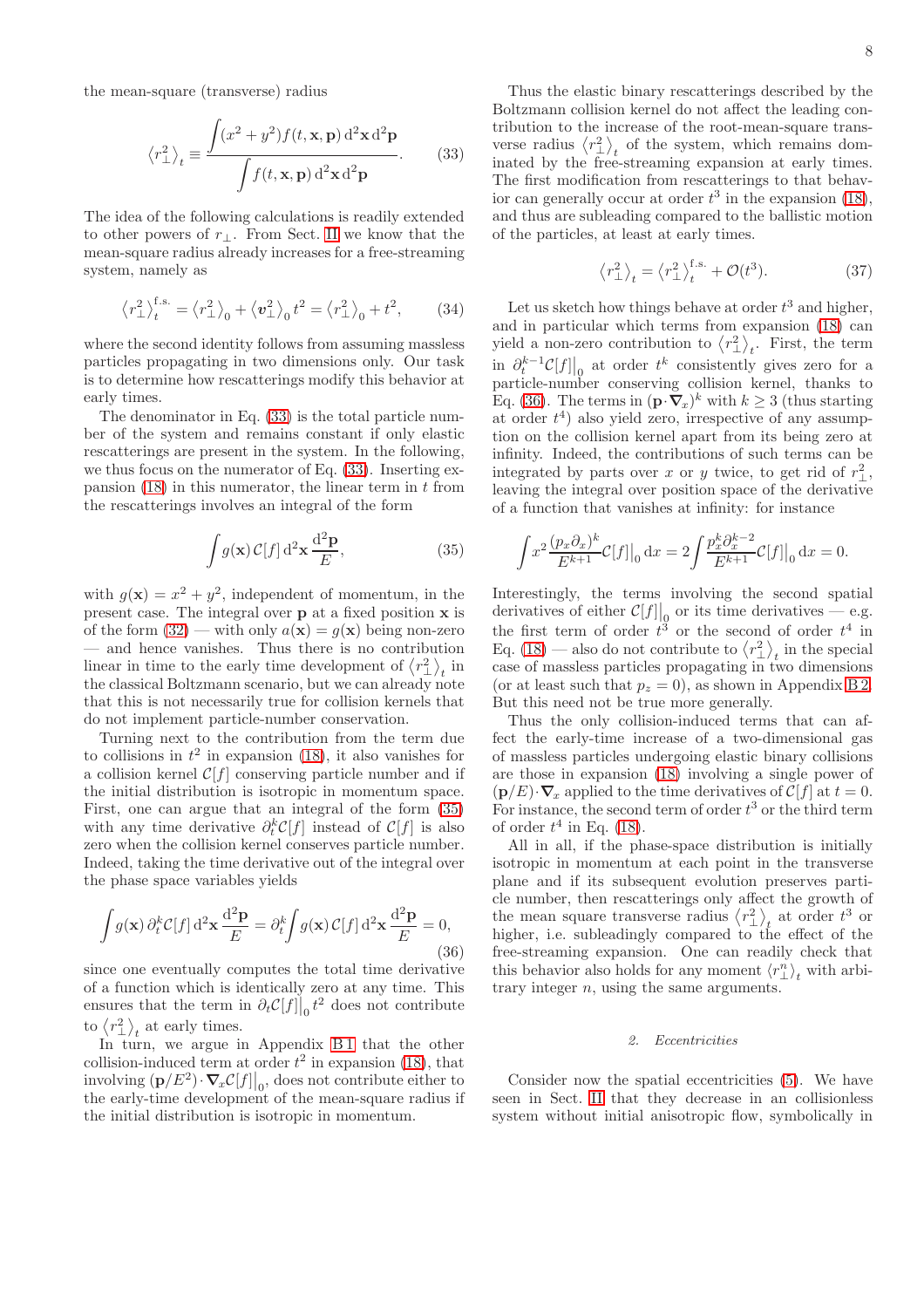the mean-square (transverse) radius

<span id="page-7-0"></span>
$$
\langle r_{\perp}^2 \rangle_t \equiv \frac{\int (x^2 + y^2) f(t, \mathbf{x}, \mathbf{p}) \, \mathrm{d}^2 \mathbf{x} \, \mathrm{d}^2 \mathbf{p}}{\int f(t, \mathbf{x}, \mathbf{p}) \, \mathrm{d}^2 \mathbf{x} \, \mathrm{d}^2 \mathbf{p}}.
$$
 (33)

The idea of the following calculations is readily extended to other powers of  $r_{\perp}$ . From Sect. [II](#page-1-0) we know that the mean-square radius already increases for a free-streaming system, namely as

$$
\langle r_{\perp}^2 \rangle_t^{\text{f.s.}} = \langle r_{\perp}^2 \rangle_0 + \langle v_{\perp}^2 \rangle_0 t^2 = \langle r_{\perp}^2 \rangle_0 + t^2, \qquad (34)
$$

where the second identity follows from assuming massless particles propagating in two dimensions only. Our task is to determine how rescatterings modify this behavior at early times.

The denominator in Eq. [\(33\)](#page-7-0) is the total particle number of the system and remains constant if only elastic rescatterings are present in the system. In the following, we thus focus on the numerator of Eq. [\(33\)](#page-7-0). Inserting expansion  $(18)$  in this numerator, the linear term in t from the rescatterings involves an integral of the form

<span id="page-7-1"></span>
$$
\int g(\mathbf{x}) \mathcal{C}[f] d^2 \mathbf{x} \frac{d^2 \mathbf{p}}{E},\tag{35}
$$

with  $g(\mathbf{x}) = x^2 + y^2$ , independent of momentum, in the present case. The integral over p at a fixed position x is of the form [\(32\)](#page-6-1) — with only  $a(\mathbf{x}) = g(\mathbf{x})$  being non-zero — and hence vanishes. Thus there is no contribution linear in time to the early time development of  $\langle r_{\perp}^2 \rangle_t$  in the classical Boltzmann scenario, but we can already note that this is not necessarily true for collision kernels that do not implement particle-number conservation.

Turning next to the contribution from the term due to collisions in  $t^2$  in expansion [\(18\)](#page-3-1), it also vanishes for a collision kernel  $C[f]$  conserving particle number and if the initial distribution is isotropic in momentum space. First, one can argue that an integral of the form [\(35\)](#page-7-1) with any time derivative  $\partial_t^k C[f]$  instead of  $C[f]$  is also zero when the collision kernel conserves particle number. Indeed, taking the time derivative out of the integral over the phase space variables yields

<span id="page-7-2"></span>
$$
\int g(\mathbf{x}) \,\partial_t^k C[f] \,\mathrm{d}^2 \mathbf{x} \,\frac{\mathrm{d}^2 \mathbf{p}}{E} = \partial_t^k \int g(\mathbf{x}) \, C[f] \,\mathrm{d}^2 \mathbf{x} \,\frac{\mathrm{d}^2 \mathbf{p}}{E} = 0,\tag{36}
$$

since one eventually computes the total time derivative of a function which is identically zero at any time. This ensures that the term in  $\partial_t \mathcal{C}[f] \big|_0 t^2$  does not contribute to  $\langle r_\perp^2 \rangle_t$  at early times.

In turn, we argue in Appendix B1 that the other collision-induced term at order  $t^2$  in expansion [\(18\)](#page-3-1), that involving  $(p/E^2) \cdot \nabla_x \mathcal{C}[f] \big|_0$ , does not contribute either to the early-time development of the mean-square radius if the initial distribution is isotropic in momentum.

Thus the elastic binary rescatterings described by the Boltzmann collision kernel do not affect the leading contribution to the increase of the root-mean-square transverse radius  $\langle r_{\perp}^2 \rangle_t$  of the system, which remains dominated by the free-streaming expansion at early times. The first modification from rescatterings to that behavior can generally occur at order  $t^3$  in the expansion [\(18\)](#page-3-1), and thus are subleading compared to the ballistic motion of the particles, at least at early times.

<span id="page-7-3"></span>
$$
\left\langle r_{\perp}^{2} \right\rangle_{t} = \left\langle r_{\perp}^{2} \right\rangle_{t}^{\text{fs.}} + \mathcal{O}(t^{3}). \tag{37}
$$

Let us sketch how things behave at order  $t^3$  and higher, and in particular which terms from expansion [\(18\)](#page-3-1) can yield a non-zero contribution to  $\langle r_{\perp}^2 \rangle_t$ . First, the term  $\lim_{k \to \infty} \frac{\partial_t^{k-1} \mathcal{C}[f]}{\partial x_k}$  at order  $t^k$  consistently gives zero for a particle-number conserving collision kernel, thanks to Eq. [\(36\)](#page-7-2). The terms in  $(\mathbf{p} \cdot \nabla_x)^k$  with  $k \geq 3$  (thus starting at order  $t^4$ ) also yield zero, irrespective of any assumption on the collision kernel apart from its being zero at infinity. Indeed, the contributions of such terms can be integrated by parts over x or y twice, to get rid of  $r_{\perp}^2$ , leaving the integral over position space of the derivative of a function that vanishes at infinity: for instance

$$
\int x^2 \frac{(p_x \partial_x)^k}{E^{k+1}} \mathcal{C}[f] \big|_0 \, \mathrm{d}x = 2 \int \frac{p_x^k \partial_x^{k-2}}{E^{k+1}} \mathcal{C}[f] \big|_0 \, \mathrm{d}x = 0.
$$

Interestingly, the terms involving the second spatial derivatives of either  $\mathcal{C}[f] \Big|_0$  or its time derivatives — e.g. the first term of order  $t^3$  or the second of order  $t^4$  in Eq. [\(18\)](#page-3-1) — also do not contribute to  $\langle r_{\perp}^2 \rangle_t$  in the special case of massless particles propagating in two dimensions (or at least such that  $p_z = 0$ ), as shown in Appendix [B 2.](#page-12-3) But this need not be true more generally.

Thus the only collision-induced terms that can affect the early-time increase of a two-dimensional gas of massless particles undergoing elastic binary collisions are those in expansion [\(18\)](#page-3-1) involving a single power of  $(\mathbf{p}/E)\cdot\nabla_x$  applied to the time derivatives of  $\mathcal{C}[f]$  at  $t=0$ . For instance, the second term of order  $t^3$  or the third term of order  $t^4$  in Eq. [\(18\)](#page-3-1).

All in all, if the phase-space distribution is initially isotropic in momentum at each point in the transverse plane and if its subsequent evolution preserves particle number, then rescatterings only affect the growth of the mean square transverse radius  $\langle r_{\perp}^2 \rangle_t$  at order  $t^3$  or higher, i.e. subleadingly compared to the effect of the free-streaming expansion. One can readily check that this behavior also holds for any moment  $\langle r_{\perp}^n \rangle_t$  with arbitrary integer  $n$ , using the same arguments.

#### 2. Eccentricities

Consider now the spatial eccentricities [\(5\)](#page-1-7). We have seen in Sect. [II](#page-1-0) that they decrease in an collisionless system without initial anisotropic flow, symbolically in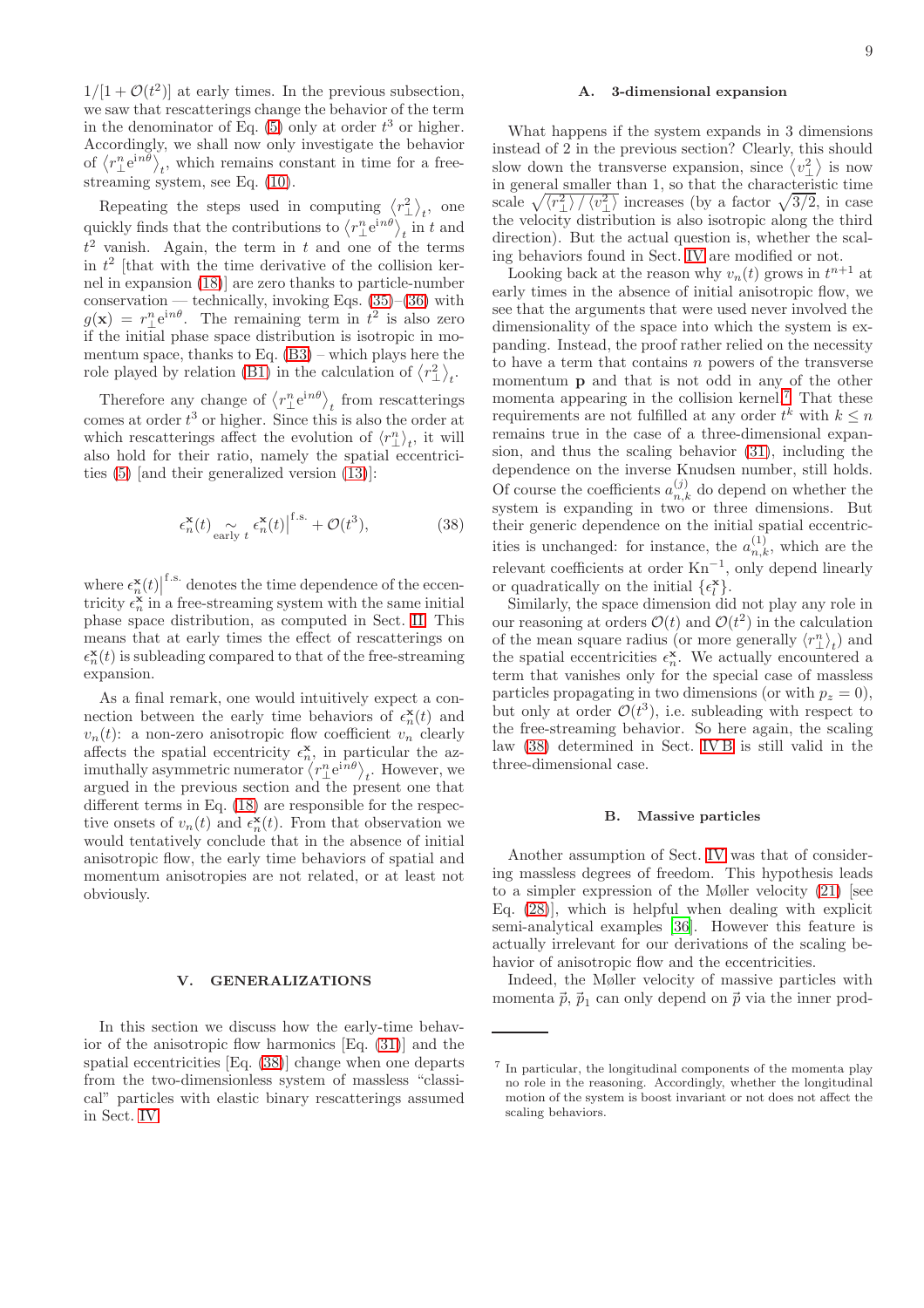$1/[1 + \mathcal{O}(t^2)]$  at early times. In the previous subsection, we saw that rescatterings change the behavior of the term in the denominator of Eq.  $(5)$  only at order  $t^3$  or higher. Accordingly, we shall now only investigate the behavior of  $\langle r^n_{\perp}e^{in\theta} \rangle_t$ , which remains constant in time for a freestreaming system, see Eq. [\(10\)](#page-2-5).

Repeating the steps used in computing  $\langle r_{\perp}^2 \rangle_t$ , one quickly finds that the contributions to  $\langle r^n_{\perp} e^{in\theta} \rangle_t$  in t and  $t<sup>2</sup>$  vanish. Again, the term in t and one of the terms in  $t^2$  [that with the time derivative of the collision kernel in expansion [\(18\)](#page-3-1)] are zero thanks to particle-number conservation — technically, invoking Eqs.  $(35)$ – $(36)$  with  $g(\mathbf{x}) = r_{\perp}^{n} e^{in\theta}$ . The remaining term in  $t^{2}$  is also zero if the initial phase space distribution is isotropic in momentum space, thanks to Eq. [\(B3\)](#page-12-4) – which plays here the role played by relation [\(B1\)](#page-12-5) in the calculation of  $\langle r_{\perp}^2 \rangle_t$ .

Therefore any change of  $\langle r_{\perp}^n e^{in\theta} \rangle_t$  from rescatterings comes at order  $t^3$  or higher. Since this is also the order at which rescatterings affect the evolution of  $\langle r_{\perp}^n \rangle_t$ , it will also hold for their ratio, namely the spatial eccentricities [\(5\)](#page-1-7) [and their generalized version [\(13\)](#page-2-4)]:

<span id="page-8-2"></span>
$$
\epsilon_n^{\mathbf{x}}(t) \underset{\text{early } t}{\sim} \epsilon_n^{\mathbf{x}}(t) \Big|^{f.s.} + \mathcal{O}(t^3),\tag{38}
$$

where  $\epsilon_n^{\mathbf{x}}(t)$ f.s. denotes the time dependence of the eccentricity  $\epsilon_n^{\mathbf{x}}$  in a free-streaming system with the same initial phase space distribution, as computed in Sect. [II.](#page-1-0) This means that at early times the effect of rescatterings on  $\epsilon_n^{\mathbf{x}}(t)$  is subleading compared to that of the free-streaming expansion.

As a final remark, one would intuitively expect a connection between the early time behaviors of  $\epsilon_n^{\mathbf{x}}(t)$  and  $v_n(t)$ : a non-zero anisotropic flow coefficient  $v_n$  clearly affects the spatial eccentricity  $\epsilon_n^{\mathbf{x}}$ , in particular the azimuthally asymmetric numerator  $\langle r_{\perp}^{n} e^{in\theta} \rangle_{t}$ . However, we argued in the previous section and the present one that different terms in Eq. [\(18\)](#page-3-1) are responsible for the respective onsets of  $v_n(t)$  and  $\epsilon_n^{\mathbf{x}}(t)$ . From that observation we would tentatively conclude that in the absence of initial anisotropic flow, the early time behaviors of spatial and momentum anisotropies are not related, or at least not obviously.

### <span id="page-8-0"></span>V. GENERALIZATIONS

In this section we discuss how the early-time behavior of the anisotropic flow harmonics [Eq. [\(31\)](#page-6-2)] and the spatial eccentricities [Eq. [\(38\)](#page-8-2)] change when one departs from the two-dimensionless system of massless "classical" particles with elastic binary rescatterings assumed in Sect. [IV.](#page-4-0)

<span id="page-8-1"></span>What happens if the system expands in 3 dimensions instead of 2 in the previous section? Clearly, this should slow down the transverse expansion, since  $\langle v_{\perp}^2 \rangle$  is now in general smaller than 1, so that the characteristic time scale  $\sqrt{\langle r_{\perp}^2 \rangle / \langle v_{\perp}^2 \rangle}$  increases (by a factor  $\sqrt{3/2}$ , in case the velocity distribution is also isotropic along the third direction). But the actual question is, whether the scaling behaviors found in Sect. [IV](#page-4-0) are modified or not.

Looking back at the reason why  $v_n(t)$  grows in  $t^{n+1}$  at early times in the absence of initial anisotropic flow, we see that the arguments that were used never involved the dimensionality of the space into which the system is expanding. Instead, the proof rather relied on the necessity to have a term that contains  $n$  powers of the transverse momentum p and that is not odd in any of the other momenta appearing in the collision kernel.[7](#page-8-3) That these requirements are not fulfilled at any order  $t^k$  with  $k \leq n$ remains true in the case of a three-dimensional expansion, and thus the scaling behavior [\(31\)](#page-6-2), including the dependence on the inverse Knudsen number, still holds. Of course the coefficients  $a_{n,k}^{(j)}$  do depend on whether the system is expanding in two or three dimensions. But their generic dependence on the initial spatial eccentricities is unchanged: for instance, the  $a_{n,k}^{(1)}$ , which are the relevant coefficients at order  $Kn^{-1}$ , only depend linearly or quadratically on the initial  $\{\epsilon_l^{\mathbf{x}}\}$ .

Similarly, the space dimension did not play any role in our reasoning at orders  $\mathcal{O}(t)$  and  $\mathcal{O}(t^2)$  in the calculation of the mean square radius (or more generally  $\langle r_{\perp}^{n} \rangle_{t})$  and the spatial eccentricities  $\epsilon_n^{\mathbf{x}}$ . We actually encountered a term that vanishes only for the special case of massless particles propagating in two dimensions (or with  $p_z = 0$ ), but only at order  $\mathcal{O}(t^3)$ , i.e. subleading with respect to the free-streaming behavior. So here again, the scaling law [\(38\)](#page-8-2) determined in Sect. [IV B](#page-6-3) is still valid in the three-dimensional case.

#### B. Massive particles

Another assumption of Sect. [IV](#page-4-0) was that of considering massless degrees of freedom. This hypothesis leads to a simpler expression of the Møller velocity [\(21\)](#page-4-6) [see Eq. [\(28\)](#page-5-4)], which is helpful when dealing with explicit semi-analytical examples [\[36\]](#page-14-1). However this feature is actually irrelevant for our derivations of the scaling behavior of anisotropic flow and the eccentricities.

Indeed, the Møller velocity of massive particles with momenta  $\vec{p}, \vec{p}_1$  can only depend on  $\vec{p}$  via the inner prod-

<span id="page-8-3"></span><sup>7</sup> In particular, the longitudinal components of the momenta play no role in the reasoning. Accordingly, whether the longitudinal motion of the system is boost invariant or not does not affect the scaling behaviors.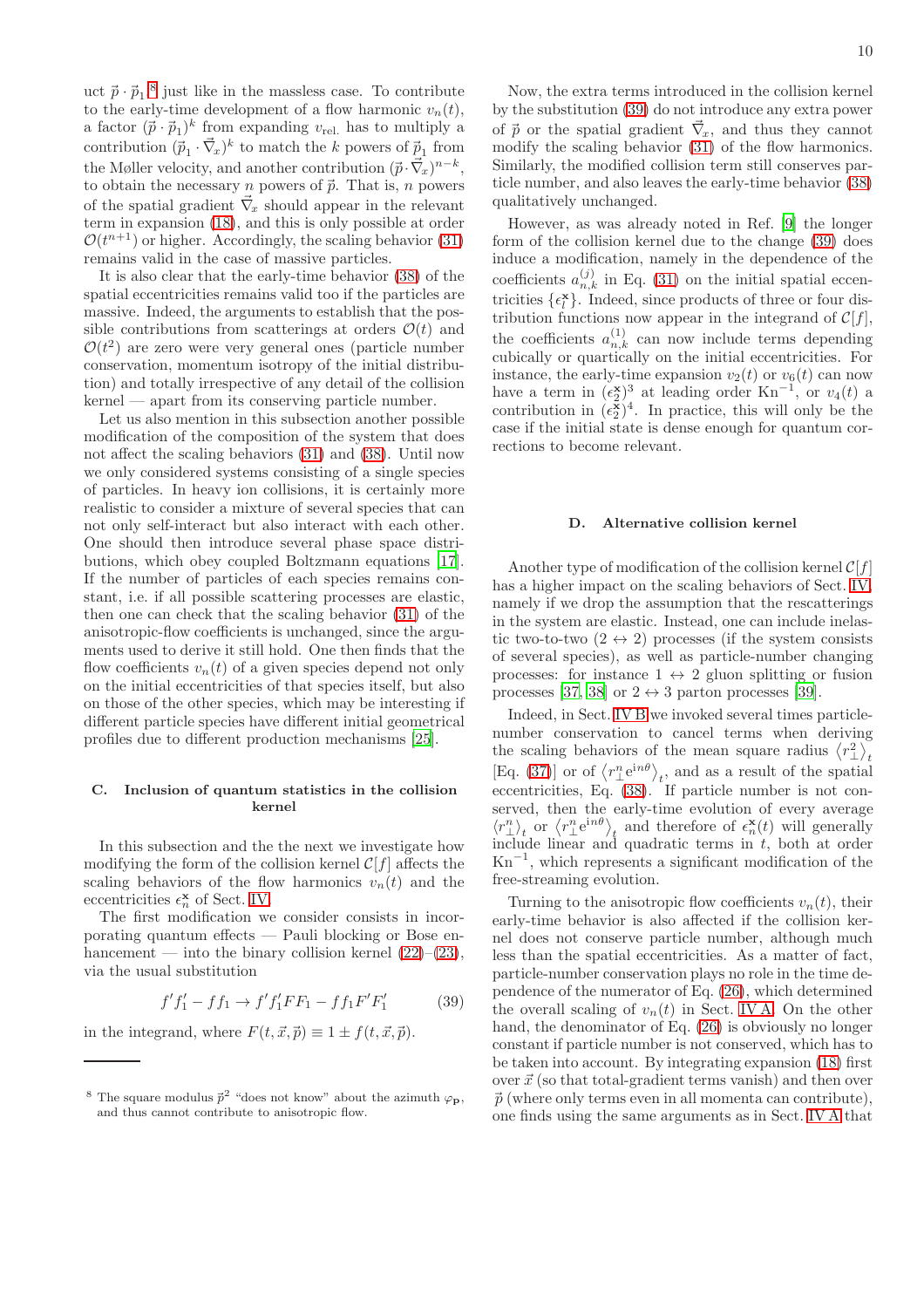10

uct  $\vec{p} \cdot \vec{p}_1$ ,<sup>[8](#page-9-0)</sup> just like in the massless case. To contribute to the early-time development of a flow harmonic  $v_n(t)$ , a factor  $(\vec{p} \cdot \vec{p}_1)^k$  from expanding  $v_{rel.}$  has to multiply a contribution  $(\vec{p}_1 \cdot \vec{\nabla}_x)^k$  to match the k powers of  $\vec{p}_1$  from the Møller velocity, and another contribution  $(\vec{p} \cdot \vec{\nabla}_x)^{n-k}$ , to obtain the necessary *n* powers of  $\vec{p}$ . That is, *n* powers of the spatial gradient  $\vec{\nabla}_x$  should appear in the relevant term in expansion [\(18\)](#page-3-1), and this is only possible at order  $\mathcal{O}(t^{n+1})$  or higher. Accordingly, the scaling behavior [\(31\)](#page-6-2) remains valid in the case of massive particles.

It is also clear that the early-time behavior [\(38\)](#page-8-2) of the spatial eccentricities remains valid too if the particles are massive. Indeed, the arguments to establish that the possible contributions from scatterings at orders  $\mathcal{O}(t)$  and  $\mathcal{O}(t^2)$  are zero were very general ones (particle number conservation, momentum isotropy of the initial distribution) and totally irrespective of any detail of the collision kernel — apart from its conserving particle number.

Let us also mention in this subsection another possible modification of the composition of the system that does not affect the scaling behaviors [\(31\)](#page-6-2) and [\(38\)](#page-8-2). Until now we only considered systems consisting of a single species of particles. In heavy ion collisions, it is certainly more realistic to consider a mixture of several species that can not only self-interact but also interact with each other. One should then introduce several phase space distributions, which obey coupled Boltzmann equations [\[17\]](#page-13-10). If the number of particles of each species remains constant, i.e. if all possible scattering processes are elastic, then one can check that the scaling behavior [\(31\)](#page-6-2) of the anisotropic-flow coefficients is unchanged, since the arguments used to derive it still hold. One then finds that the flow coefficients  $v_n(t)$  of a given species depend not only on the initial eccentricities of that species itself, but also on those of the other species, which may be interesting if different particle species have different initial geometrical profiles due to different production mechanisms [\[25](#page-13-21)].

### C. Inclusion of quantum statistics in the collision kernel

In this subsection and the the next we investigate how modifying the form of the collision kernel  $\mathcal{C}[f]$  affects the scaling behaviors of the flow harmonics  $v_n(t)$  and the eccentricities  $\epsilon_n^{\mathbf{x}}$  of Sect. [IV.](#page-4-0)

The first modification we consider consists in incorporating quantum effects — Pauli blocking or Bose enhancement — into the binary collision kernel  $(22)$ – $(23)$ , via the usual substitution

<span id="page-9-1"></span>
$$
f'f_1' - ff_1 \to f'f_1'FF_1 - ff_1F'F_1'
$$
 (39)

in the integrand, where  $F(t, \vec{x}, \vec{p}) \equiv 1 \pm f(t, \vec{x}, \vec{p}).$ 

Now, the extra terms introduced in the collision kernel by the substitution [\(39\)](#page-9-1) do not introduce any extra power of  $\vec{p}$  or the spatial gradient  $\vec{\nabla}_x$ , and thus they cannot modify the scaling behavior [\(31\)](#page-6-2) of the flow harmonics. Similarly, the modified collision term still conserves particle number, and also leaves the early-time behavior [\(38\)](#page-8-2) qualitatively unchanged.

However, as was already noted in Ref. [\[9\]](#page-13-20) the longer form of the collision kernel due to the change [\(39\)](#page-9-1) does induce a modification, namely in the dependence of the coefficients  $a_{n,k}^{(j)}$  in Eq. [\(31\)](#page-6-2) on the initial spatial eccentricities  $\{\epsilon_l^{\mathbf{x}}\}$ . Indeed, since products of three or four distribution functions now appear in the integrand of  $\mathcal{C}[f]$ , the coefficients  $a_{n,k}^{(1)}$  can now include terms depending cubically or quartically on the initial eccentricities. For instance, the early-time expansion  $v_2(t)$  or  $v_6(t)$  can now have a term in  $(\epsilon_2^{\mathbf{x}})^3$  at leading order  $\text{Kn}^{-1}$ , or  $v_4(t)$  a contribution in  $(\epsilon_2^{\mathbf{x}})^4$ . In practice, this will only be the case if the initial state is dense enough for quantum corrections to become relevant.

### D. Alternative collision kernel

Another type of modification of the collision kernel  $\mathcal{C}[f]$ has a higher impact on the scaling behaviors of Sect. [IV,](#page-4-0) namely if we drop the assumption that the rescatterings in the system are elastic. Instead, one can include inelastic two-to-two  $(2 \leftrightarrow 2)$  processes (if the system consists of several species), as well as particle-number changing processes: for instance  $1 \leftrightarrow 2$  gluon splitting or fusion processes [\[37,](#page-14-2) [38\]](#page-14-3) or  $2 \leftrightarrow 3$  parton processes [\[39\]](#page-14-4).

Indeed, in Sect. [IV B](#page-6-3) we invoked several times particlenumber conservation to cancel terms when deriving the scaling behaviors of the mean square radius  $\langle r_{\perp}^2 \rangle_t$ [Eq. [\(37\)](#page-7-3)] or of  $\langle r^n_{\perp}e^{in\theta} \rangle_t$ , and as a result of the spatial eccentricities, Eq. [\(38\)](#page-8-2). If particle number is not conserved, then the early-time evolution of every average  $\langle r_{\perp}^{n} \rangle_{t}$  or  $\langle r_{\perp}^{n} e^{in\theta} \rangle_{t}$  and therefore of  $\epsilon_{n}^{x}(t)$  will generally include linear and quadratic terms in  $t$ , both at order  $Kn^{-1}$ , which represents a significant modification of the free-streaming evolution.

Turning to the anisotropic flow coefficients  $v_n(t)$ , their early-time behavior is also affected if the collision kernel does not conserve particle number, although much less than the spatial eccentricities. As a matter of fact, particle-number conservation plays no role in the time dependence of the numerator of Eq. [\(26\)](#page-4-5), which determined the overall scaling of  $v_n(t)$  in Sect. [IV A.](#page-4-8) On the other hand, the denominator of Eq. [\(26\)](#page-4-5) is obviously no longer constant if particle number is not conserved, which has to be taken into account. By integrating expansion [\(18\)](#page-3-1) first over  $\vec{x}$  (so that total-gradient terms vanish) and then over  $\vec{p}$  (where only terms even in all momenta can contribute). one finds using the same arguments as in Sect. [IV A](#page-4-8) that

<span id="page-9-0"></span><sup>&</sup>lt;sup>8</sup> The square modulus  $\vec{p}^2$  "does not know" about the azimuth  $\varphi_p$ , and thus cannot contribute to anisotropic flow.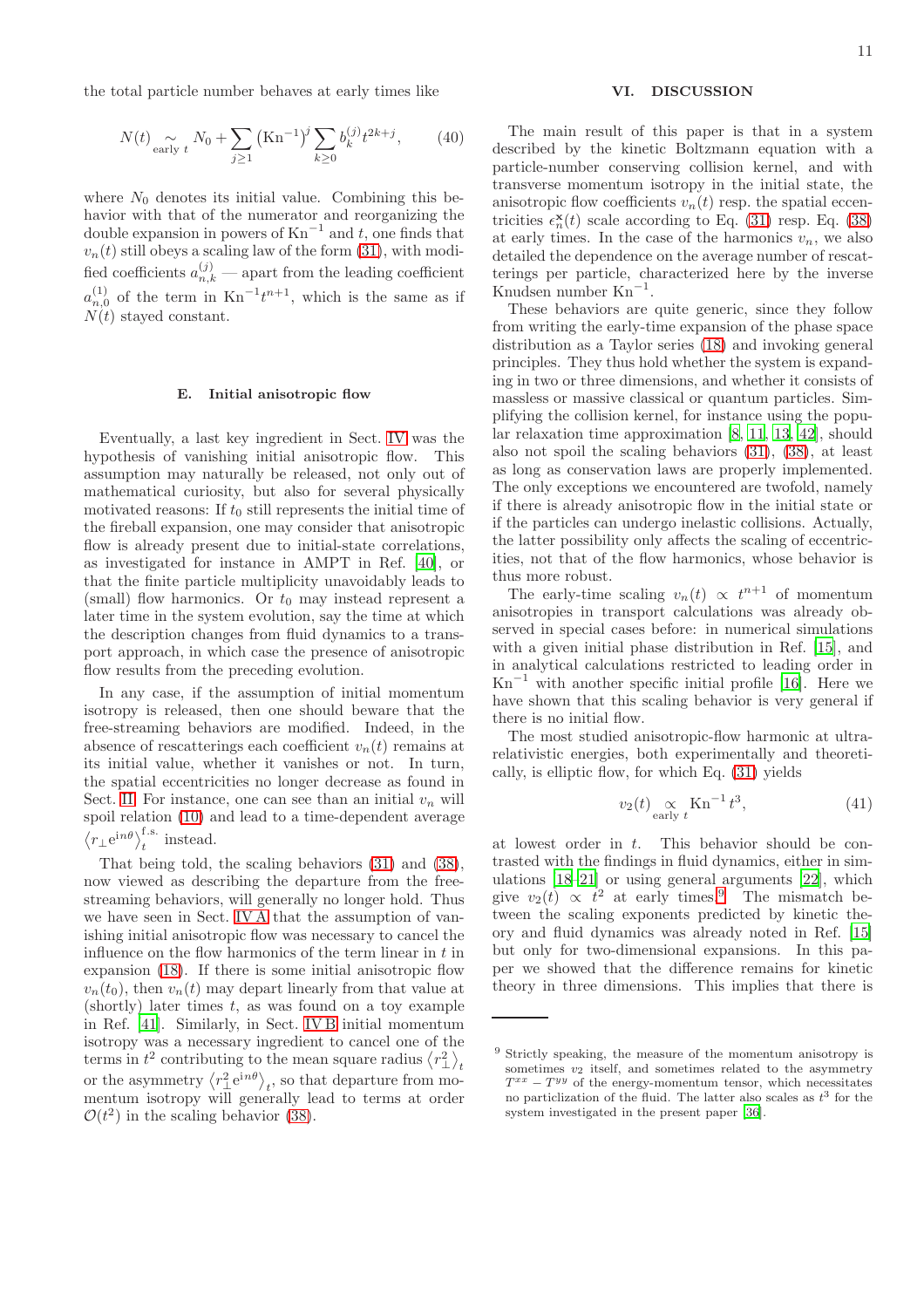the total particle number behaves at early times like

$$
N(t) \underset{\text{early } t}{\sim} N_0 + \sum_{j \ge 1} (\text{Kn}^{-1})^j \sum_{k \ge 0} b_k^{(j)} t^{2k+j}, \qquad (40)
$$

where  $N_0$  denotes its initial value. Combining this behavior with that of the numerator and reorganizing the double expansion in powers of  $Kn^{-1}$  and t, one finds that  $v_n(t)$  still obeys a scaling law of the form  $(31)$ , with modified coefficients  $a_{n,k}^{(j)}$  — apart from the leading coefficient  $a_{n,0}^{(1)}$  of the term in  $\text{Kn}^{-1}t^{n+1}$ , which is the same as if  $N(t)$  stayed constant.

#### E. Initial anisotropic flow

Eventually, a last key ingredient in Sect. [IV](#page-4-0) was the hypothesis of vanishing initial anisotropic flow. This assumption may naturally be released, not only out of mathematical curiosity, but also for several physically motivated reasons: If  $t_0$  still represents the initial time of the fireball expansion, one may consider that anisotropic flow is already present due to initial-state correlations, as investigated for instance in AMPT in Ref. [\[40](#page-14-5)], or that the finite particle multiplicity unavoidably leads to (small) flow harmonics. Or  $t_0$  may instead represent a later time in the system evolution, say the time at which the description changes from fluid dynamics to a transport approach, in which case the presence of anisotropic flow results from the preceding evolution.

In any case, if the assumption of initial momentum isotropy is released, then one should beware that the free-streaming behaviors are modified. Indeed, in the absence of rescatterings each coefficient  $v_n(t)$  remains at its initial value, whether it vanishes or not. In turn, the spatial eccentricities no longer decrease as found in Sect. [II.](#page-1-0) For instance, one can see than an initial  $v_n$  will spoil relation [\(10\)](#page-2-5) and lead to a time-dependent average  $\langle r_{\perp} e^{in\theta} \rangle_t^{\text{f.s.}}$  instead.

That being told, the scaling behaviors [\(31\)](#page-6-2) and [\(38\)](#page-8-2), now viewed as describing the departure from the freestreaming behaviors, will generally no longer hold. Thus we have seen in Sect. [IV A](#page-4-8) that the assumption of vanishing initial anisotropic flow was necessary to cancel the influence on the flow harmonics of the term linear in  $t$  in expansion [\(18\)](#page-3-1). If there is some initial anisotropic flow  $v_n(t_0)$ , then  $v_n(t)$  may depart linearly from that value at (shortly) later times  $t$ , as was found on a toy example in Ref. [\[41\]](#page-14-6). Similarly, in Sect. [IV B](#page-6-3) initial momentum isotropy was a necessary ingredient to cancel one of the terms in  $t^2$  contributing to the mean square radius  $\langle r_\perp^2 \rangle_t$ or the asymmetry  $\langle r_\perp^2 e^{in\theta} \rangle_t$ , so that departure from momentum isotropy will generally lead to terms at order  $\mathcal{O}(t^2)$  in the scaling behavior [\(38\)](#page-8-2).

### <span id="page-10-0"></span>VI. DISCUSSION

The main result of this paper is that in a system described by the kinetic Boltzmann equation with a particle-number conserving collision kernel, and with transverse momentum isotropy in the initial state, the anisotropic flow coefficients  $v_n(t)$  resp. the spatial eccentricities  $\epsilon_n^{\mathbf{x}}(t)$  scale according to Eq. [\(31\)](#page-6-2) resp. Eq. [\(38\)](#page-8-2) at early times. In the case of the harmonics  $v_n$ , we also detailed the dependence on the average number of rescatterings per particle, characterized here by the inverse Knudsen number Kn−<sup>1</sup> .

These behaviors are quite generic, since they follow from writing the early-time expansion of the phase space distribution as a Taylor series [\(18\)](#page-3-1) and invoking general principles. They thus hold whether the system is expanding in two or three dimensions, and whether it consists of massless or massive classical or quantum particles. Simplifying the collision kernel, for instance using the popular relaxation time approximation [\[8](#page-13-17), [11](#page-13-19), [13,](#page-13-7) [42\]](#page-14-7), should also not spoil the scaling behaviors [\(31\)](#page-6-2), [\(38\)](#page-8-2), at least as long as conservation laws are properly implemented. The only exceptions we encountered are twofold, namely if there is already anisotropic flow in the initial state or if the particles can undergo inelastic collisions. Actually, the latter possibility only affects the scaling of eccentricities, not that of the flow harmonics, whose behavior is thus more robust.

The early-time scaling  $v_n(t) \propto t^{n+1}$  of momentum anisotropies in transport calculations was already observed in special cases before: in numerical simulations with a given initial phase distribution in Ref. [\[15](#page-13-13)], and in analytical calculations restricted to leading order in  $Kn^{-1}$  with another specific initial profile [\[16\]](#page-13-9). Here we have shown that this scaling behavior is very general if there is no initial flow.

The most studied anisotropic-flow harmonic at ultrarelativistic energies, both experimentally and theoretically, is elliptic flow, for which Eq. [\(31\)](#page-6-2) yields

$$
v_2(t) \underset{\text{early } t}{\propto} \text{Kn}^{-1} t^3,\tag{41}
$$

at lowest order in  $t$ . This behavior should be contrasted with the findings in fluid dynamics, either in simulations [\[18](#page-13-11)[–21](#page-13-12)] or using general arguments [\[22](#page-13-14)], which give  $v_2(t) \propto t^2$  at early times.<sup>[9](#page-10-1)</sup> The mismatch between the scaling exponents predicted by kinetic theory and fluid dynamics was already noted in Ref. [\[15](#page-13-13)] but only for two-dimensional expansions. In this paper we showed that the difference remains for kinetic theory in three dimensions. This implies that there is

<span id="page-10-1"></span><sup>9</sup> Strictly speaking, the measure of the momentum anisotropy is sometimes  $v_2$  itself, and sometimes related to the asymmetry  $T^{xx} - T^{yy}$  of the energy-momentum tensor, which necessitates no particlization of the fluid. The latter also scales as  $t^3$  for the system investigated in the present paper [\[36\]](#page-14-1).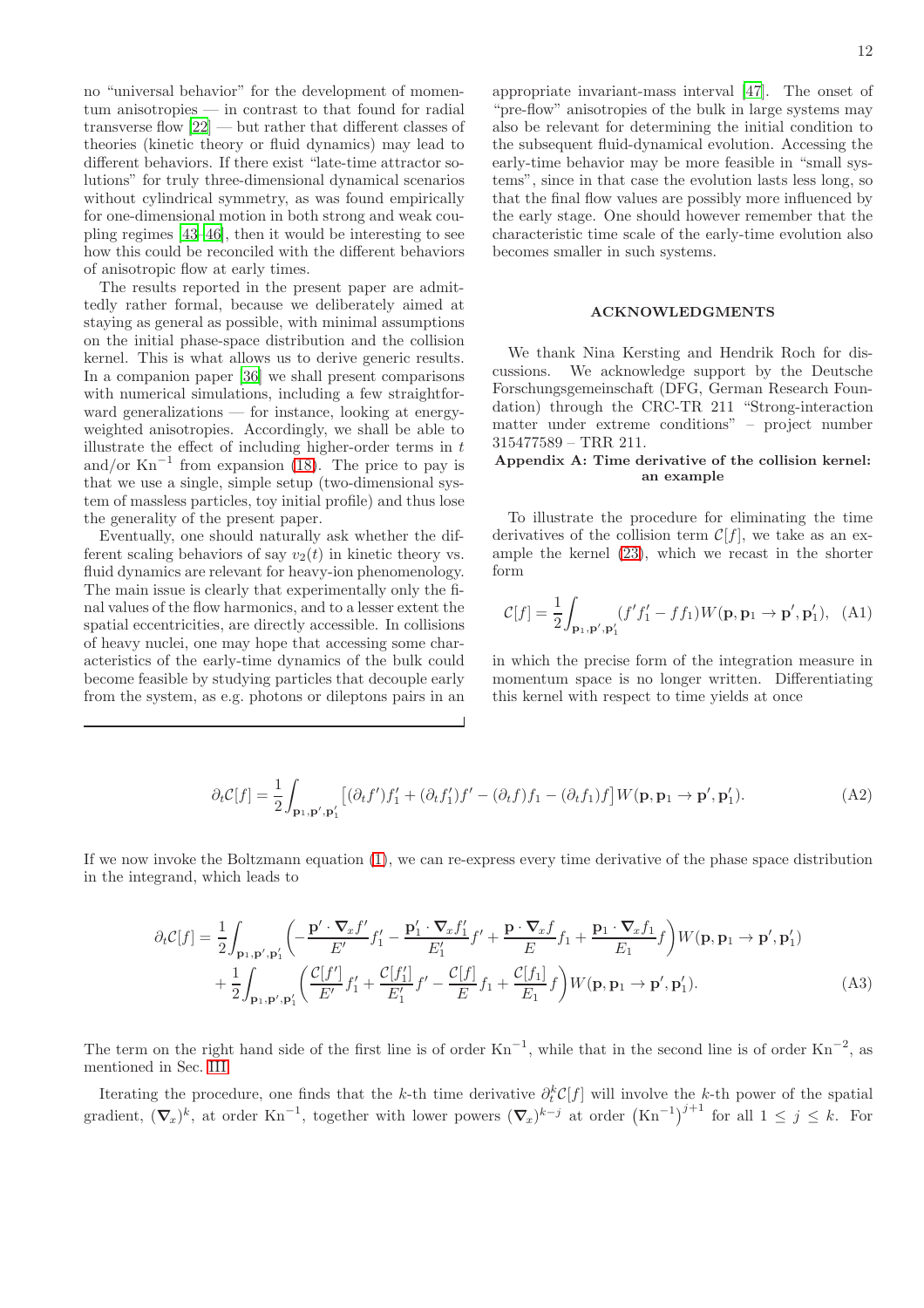no "universal behavior" for the development of momentum anisotropies — in contrast to that found for radial transverse flow [\[22\]](#page-13-14) — but rather that different classes of theories (kinetic theory or fluid dynamics) may lead to different behaviors. If there exist "late-time attractor solutions" for truly three-dimensional dynamical scenarios without cylindrical symmetry, as was found empirically for one-dimensional motion in both strong and weak coupling regimes [\[43](#page-14-8)[–46](#page-14-9)], then it would be interesting to see how this could be reconciled with the different behaviors of anisotropic flow at early times.

The results reported in the present paper are admittedly rather formal, because we deliberately aimed at staying as general as possible, with minimal assumptions on the initial phase-space distribution and the collision kernel. This is what allows us to derive generic results. In a companion paper [\[36\]](#page-14-1) we shall present comparisons with numerical simulations, including a few straightforward generalizations — for instance, looking at energyweighted anisotropies. Accordingly, we shall be able to illustrate the effect of including higher-order terms in  $t$ and/or  $Kn^{-1}$  from expansion [\(18\)](#page-3-1). The price to pay is that we use a single, simple setup (two-dimensional system of massless particles, toy initial profile) and thus lose the generality of the present paper.

Eventually, one should naturally ask whether the different scaling behaviors of say  $v_2(t)$  in kinetic theory vs. fluid dynamics are relevant for heavy-ion phenomenology. The main issue is clearly that experimentally only the final values of the flow harmonics, and to a lesser extent the spatial eccentricities, are directly accessible. In collisions of heavy nuclei, one may hope that accessing some characteristics of the early-time dynamics of the bulk could become feasible by studying particles that decouple early from the system, as e.g. photons or dileptons pairs in an appropriate invariant-mass interval [\[47](#page-14-10)]. The onset of "pre-flow" anisotropies of the bulk in large systems may also be relevant for determining the initial condition to the subsequent fluid-dynamical evolution. Accessing the early-time behavior may be more feasible in "small systems", since in that case the evolution lasts less long, so that the final flow values are possibly more influenced by the early stage. One should however remember that the characteristic time scale of the early-time evolution also becomes smaller in such systems.

#### ACKNOWLEDGMENTS

We thank Nina Kersting and Hendrik Roch for discussions. We acknowledge support by the Deutsche Forschungsgemeinschaft (DFG, German Research Foundation) through the CRC-TR 211 "Strong-interaction matter under extreme conditions" – project number 315477589 – TRR 211.

## <span id="page-11-0"></span>Appendix A: Time derivative of the collision kernel: an example

To illustrate the procedure for eliminating the time derivatives of the collision term  $\mathcal{C}[f]$ , we take as an example the kernel [\(23\)](#page-4-7), which we recast in the shorter form

$$
\mathcal{C}[f] = \frac{1}{2} \int_{\mathbf{p}_1, \mathbf{p}', \mathbf{p}'_1} (f'f'_1 - ff_1) W(\mathbf{p}, \mathbf{p}_1 \to \mathbf{p}', \mathbf{p}'_1), \tag{A1}
$$

in which the precise form of the integration measure in momentum space is no longer written. Differentiating this kernel with respect to time yields at once

$$
\partial_t \mathcal{C}[f] = \frac{1}{2} \int_{\mathbf{p}_1, \mathbf{p}', \mathbf{p}'_1} \left[ (\partial_t f') f'_1 + (\partial_t f'_1) f' - (\partial_t f) f_1 - (\partial_t f_1) f \right] W(\mathbf{p}, \mathbf{p}_1 \to \mathbf{p}', \mathbf{p}'_1). \tag{A2}
$$

If we now invoke the Boltzmann equation [\(1\)](#page-0-2), we can re-express every time derivative of the phase space distribution in the integrand, which leads to

<span id="page-11-1"></span> $\overline{\phantom{a}}$ 

$$
\partial_t \mathcal{C}[f] = \frac{1}{2} \int_{\mathbf{p}_1, \mathbf{p}', \mathbf{p}_1'} \left( -\frac{\mathbf{p}' \cdot \nabla_x f'}{E'} f_1' - \frac{\mathbf{p}_1' \cdot \nabla_x f_1'}{E'} f' + \frac{\mathbf{p} \cdot \nabla_x f}{E} f_1 + \frac{\mathbf{p}_1 \cdot \nabla_x f_1}{E_1} f \right) W(\mathbf{p}, \mathbf{p}_1 \to \mathbf{p}', \mathbf{p}_1') + \frac{1}{2} \int_{\mathbf{p}_1, \mathbf{p}', \mathbf{p}_1'} \left( \frac{\mathcal{C}[f']}{E'} f_1' + \frac{\mathcal{C}[f_1]}{E_1'} f' - \frac{\mathcal{C}[f]}{E} f_1 + \frac{\mathcal{C}[f_1]}{E_1} f \right) W(\mathbf{p}, \mathbf{p}_1 \to \mathbf{p}', \mathbf{p}_1').
$$
\n(A3)

The term on the right hand side of the first line is of order  $Kn^{-1}$ , while that in the second line is of order  $Kn^{-2}$ , as mentioned in Sec. [III.](#page-2-0)

Iterating the procedure, one finds that the k-th time derivative  $\partial_t^k C[f]$  will involve the k-th power of the spatial gradient,  $(\nabla_x)^k$ , at order Kn<sup>-1</sup>, together with lower powers  $(\nabla_x)^{k-j}$  at order  $(Kn^{-1})^{j+1}$  for all  $1 \leq j \leq k$ . For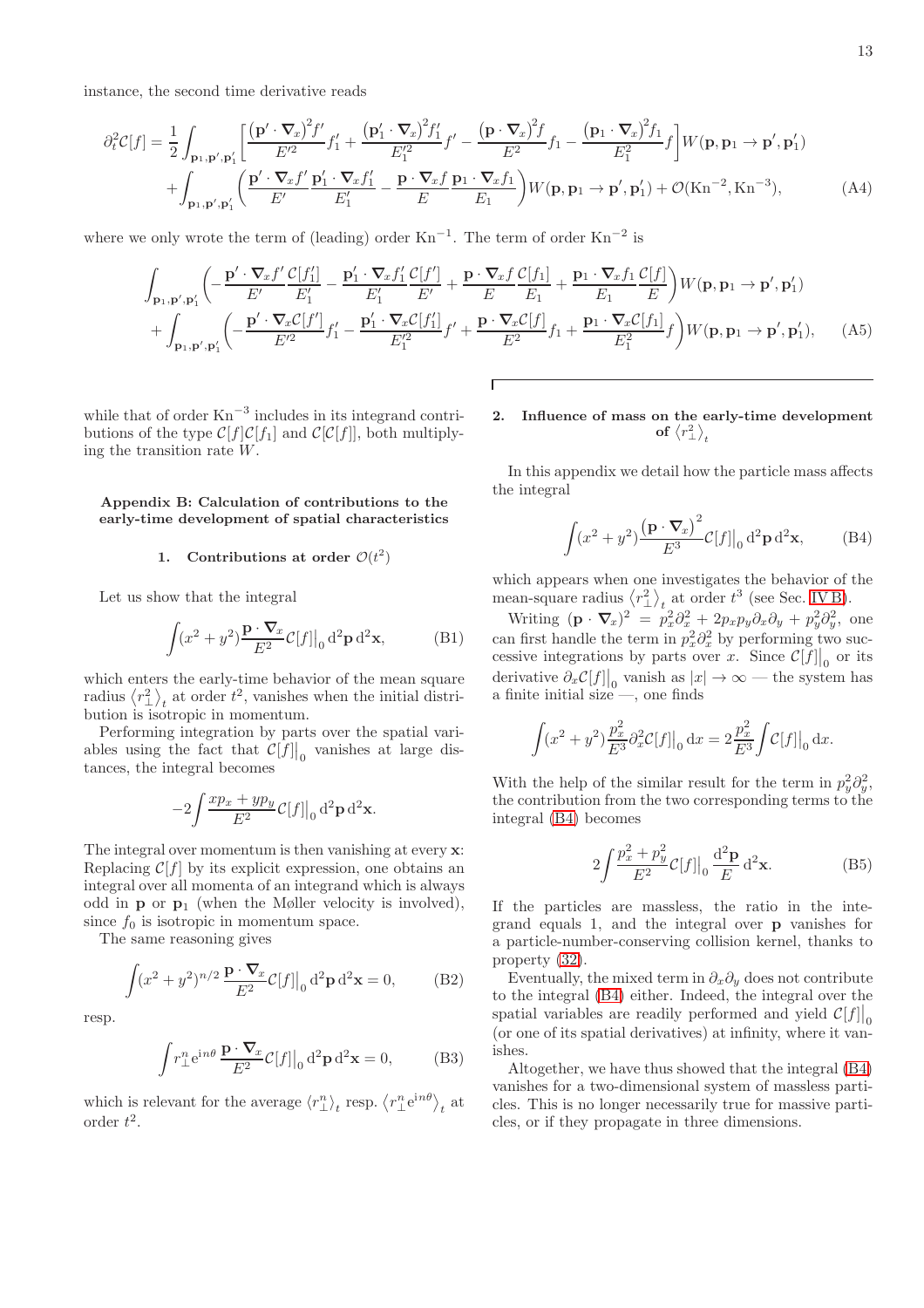instance, the second time derivative reads

$$
\partial_t^2 C[f] = \frac{1}{2} \int_{\mathbf{p}_1, \mathbf{p}', \mathbf{p}_1'} \left[ \frac{\left(\mathbf{p}' \cdot \nabla_x\right)^2 f'}{E'^2} f_1' + \frac{\left(\mathbf{p}_1' \cdot \nabla_x\right)^2 f_1'}{E'^2} f' - \frac{\left(\mathbf{p} \cdot \nabla_x\right)^2 f}{E^2} f_1 - \frac{\left(\mathbf{p}_1 \cdot \nabla_x\right)^2 f_1}{E^2} f \right] W(\mathbf{p}, \mathbf{p}_1 \to \mathbf{p}', \mathbf{p}_1') \right] + \int_{\mathbf{p}_1, \mathbf{p}', \mathbf{p}_1'} \left( \frac{\mathbf{p}' \cdot \nabla_x f'}{E'} \frac{\mathbf{p}_1' \cdot \nabla_x f_1'}{E_1'} - \frac{\mathbf{p} \cdot \nabla_x f}{E} \frac{\mathbf{p}_1 \cdot \nabla_x f_1}{E_1} \right) W(\mathbf{p}, \mathbf{p}_1 \to \mathbf{p}', \mathbf{p}_1') + \mathcal{O}(\mathbf{Kn}^{-2}, \mathbf{Kn}^{-3}), \tag{A4}
$$

where we only wrote the term of (leading) order  $Kn^{-1}$ . The term of order  $Kn^{-2}$  is

$$
\int_{\mathbf{p}_1,\mathbf{p}',\mathbf{p}_1'} \left( -\frac{\mathbf{p}' \cdot \nabla_x f'}{E'} \frac{\mathcal{C}[f_1']}{E_1'} - \frac{\mathbf{p}_1' \cdot \nabla_x f_1'}{E_1'} \frac{\mathcal{C}[f']}{E'} + \frac{\mathbf{p} \cdot \nabla_x f}{E} \frac{\mathcal{C}[f_1]}{E_1} + \frac{\mathbf{p}_1 \cdot \nabla_x f_1'}{E_1} \frac{\mathcal{C}[f]}{E} \right) W(\mathbf{p}, \mathbf{p}_1 \to \mathbf{p}', \mathbf{p}_1') + \int_{\mathbf{p}_1,\mathbf{p}',\mathbf{p}_1'} \left( -\frac{\mathbf{p}' \cdot \nabla_x \mathcal{C}[f']}{E'^2} f_1' - \frac{\mathbf{p}_1' \cdot \nabla_x \mathcal{C}[f_1]}{E_1'^2} f' + \frac{\mathbf{p} \cdot \nabla_x \mathcal{C}[f]}{E^2} f_1 + \frac{\mathbf{p}_1 \cdot \nabla_x \mathcal{C}[f_1]}{E_1^2} f \right) W(\mathbf{p}, \mathbf{p}_1 \to \mathbf{p}', \mathbf{p}_1'), \quad (A5)
$$

while that of order  $Kn^{-3}$  includes in its integrand contributions of the type  $C[f]C[f_1]$  and  $C[C[f]]$ , both multiplying the transition rate W.

### Appendix B: Calculation of contributions to the early-time development of spatial characteristics

# <span id="page-12-2"></span>1. Contributions at order  $\mathcal{O}(t^2)$

Let us show that the integral

<span id="page-12-5"></span>
$$
\int (x^2 + y^2) \frac{\mathbf{p} \cdot \nabla_x}{E^2} C[f] \Big|_0 \mathrm{d}^2 \mathbf{p} \mathrm{d}^2 \mathbf{x},\tag{B1}
$$

which enters the early-time behavior of the mean square radius  $\langle r_{\perp}^2 \rangle_t$  at order  $t^2$ , vanishes when the initial distribution is isotropic in momentum.

Performing integration by parts over the spatial variables using the fact that  $\mathcal{C}[f] \big|_0$  vanishes at large distances, the integral becomes

$$
-2\int \frac{x p_x + y p_y}{E^2} \mathcal{C}[f] \big|_0 \mathrm{d}^2 \mathbf{p} \mathrm{d}^2 \mathbf{x}.
$$

The integral over momentum is then vanishing at every  $x$ : Replacing  $\mathcal{C}[f]$  by its explicit expression, one obtains an integral over all momenta of an integrand which is always odd in  $\mathbf{p}$  or  $\mathbf{p}_1$  (when the Møller velocity is involved), since  $f_0$  is isotropic in momentum space.

The same reasoning gives

$$
\int (x^2 + y^2)^{n/2} \frac{\mathbf{p} \cdot \nabla x}{E^2} C[f] \Big|_0 \mathrm{d}^2 \mathbf{p} \mathrm{d}^2 \mathbf{x} = 0,\tag{B2}
$$

resp.

<span id="page-12-4"></span>
$$
\int r_{\perp}^{n} e^{in\theta} \frac{\mathbf{p} \cdot \nabla x}{E^2} \mathcal{C}[f] \Big|_{0} d^2 \mathbf{p} d^2 \mathbf{x} = 0,
$$
 (B3)

which is relevant for the average  $\langle r_{\perp}^n \rangle_t$  resp.  $\langle r_{\perp}^n e^{in\theta} \rangle_t$  at order  $t^2$ .

<span id="page-12-3"></span><span id="page-12-0"></span>2. Influence of mass on the early-time development of  $\left\langle r_{\perp}^{2}\right\rangle _{t}$ 

In this appendix we detail how the particle mass affects the integral

<span id="page-12-6"></span><span id="page-12-1"></span>
$$
\int (x^2 + y^2) \frac{\left(\mathbf{p} \cdot \nabla_x\right)^2}{E^3} C[f] \big|_0 d^2 \mathbf{p} d^2 \mathbf{x},\tag{B4}
$$

which appears when one investigates the behavior of the mean-square radius  $\langle r_{\perp}^2 \rangle_t$  at order  $t^3$  (see Sec. [IV B\)](#page-6-3).

Writing  $(\mathbf{p} \cdot \nabla_x)^2 = p_x^2 \partial_x^2 + 2p_x p_y \partial_x \partial_y + p_y^2 \partial_y^2$ , one can first handle the term in  $p_x^2 \partial_x^2$  by performing two successive integrations by parts over x. Since  $\mathcal{C}[f] \big|_0$  or its derivative  $\partial_x \mathcal{C}[f] \big|_0$  vanish as  $|x| \to \infty$  — the system has a finite initial size —, one finds

$$
\int (x^2 + y^2) \frac{p_x^2}{E^3} \partial_x^2 \mathcal{C}[f] \Big|_0 \, \mathrm{d}x = 2 \frac{p_x^2}{E^3} \int \mathcal{C}[f] \Big|_0 \, \mathrm{d}x.
$$

With the help of the similar result for the term in  $p_y^2 \partial_y^2$ , the contribution from the two corresponding terms to the integral [\(B4\)](#page-12-6) becomes

$$
2\int \frac{p_x^2 + p_y^2}{E^2} \mathcal{C}[f] \Big|_0 \frac{\mathrm{d}^2 \mathbf{p}}{E} \mathrm{d}^2 \mathbf{x}.\tag{B5}
$$

If the particles are massless, the ratio in the integrand equals 1, and the integral over p vanishes for a particle-number-conserving collision kernel, thanks to property [\(32\)](#page-6-1).

Eventually, the mixed term in  $\partial_x \partial_y$  does not contribute to the integral [\(B4\)](#page-12-6) either. Indeed, the integral over the spatial variables are readily performed and yield  $C[f] \Big|_0$ (or one of its spatial derivatives) at infinity, where it vanishes.

Altogether, we have thus showed that the integral [\(B4\)](#page-12-6) vanishes for a two-dimensional system of massless particles. This is no longer necessarily true for massive particles, or if they propagate in three dimensions.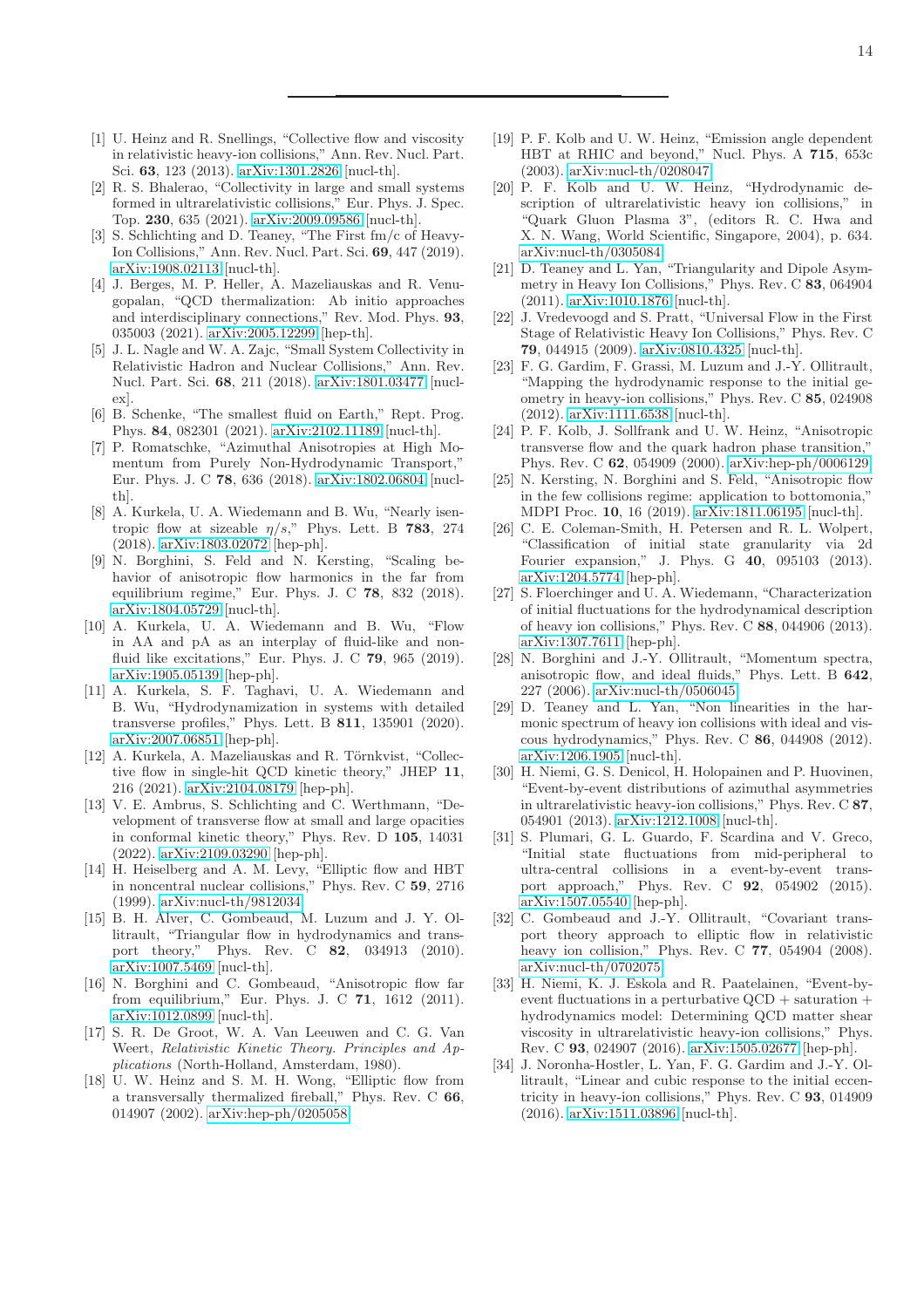- <span id="page-13-0"></span>[1] U. Heinz and R. Snellings, "Collective flow and viscosity in relativistic heavy-ion collisions," Ann. Rev. Nucl. Part. Sci. 63, 123 (2013). [arXiv:1301.2826](http://arxiv.org/abs/1301.2826) [nucl-th].
- <span id="page-13-1"></span>[2] R. S. Bhalerao, "Collectivity in large and small systems formed in ultrarelativistic collisions," Eur. Phys. J. Spec. Top. 230, 635 (2021). [arXiv:2009.09586](http://arxiv.org/abs/2009.09586) [nucl-th].
- <span id="page-13-2"></span>[3] S. Schlichting and D. Teaney, "The First fm/c of Heavy-Ion Collisions," Ann. Rev. Nucl. Part. Sci. 69, 447 (2019). [arXiv:1908.02113](http://arxiv.org/abs/1908.02113) [nucl-th].
- <span id="page-13-3"></span>[4] J. Berges, M. P. Heller, A. Mazeliauskas and R. Venugopalan, "QCD thermalization: Ab initio approaches and interdisciplinary connections," Rev. Mod. Phys. 93, 035003 (2021). [arXiv:2005.12299](http://arxiv.org/abs/2005.12299) [hep-th].
- <span id="page-13-4"></span>[5] J. L. Nagle and W. A. Zajc, "Small System Collectivity in Relativistic Hadron and Nuclear Collisions," Ann. Rev. Nucl. Part. Sci. 68, 211 (2018). [arXiv:1801.03477](http://arxiv.org/abs/1801.03477) [nuclex].
- <span id="page-13-5"></span>[6] B. Schenke, "The smallest fluid on Earth," Rept. Prog. Phys. 84, 082301 (2021). [arXiv:2102.11189](http://arxiv.org/abs/2102.11189) [nucl-th].
- <span id="page-13-6"></span>[7] P. Romatschke, "Azimuthal Anisotropies at High Momentum from Purely Non-Hydrodynamic Transport," Eur. Phys. J. C 78, 636 (2018). [arXiv:1802.06804](http://arxiv.org/abs/1802.06804) [nuclth].
- <span id="page-13-17"></span>[8] A. Kurkela, U. A. Wiedemann and B. Wu, "Nearly isentropic flow at sizeable  $\eta/s$ ," Phys. Lett. B 783, 274 (2018). [arXiv:1803.02072](http://arxiv.org/abs/1803.02072) [hep-ph].
- <span id="page-13-20"></span>[9] N. Borghini, S. Feld and N. Kersting, "Scaling behavior of anisotropic flow harmonics in the far from equilibrium regime," Eur. Phys. J. C 78, 832 (2018). [arXiv:1804.05729](http://arxiv.org/abs/1804.05729) [nucl-th].
- <span id="page-13-18"></span>[10] A. Kurkela, U. A. Wiedemann and B. Wu, "Flow in AA and pA as an interplay of fluid-like and nonfluid like excitations," Eur. Phys. J. C 79, 965 (2019). [arXiv:1905.05139](http://arxiv.org/abs/1905.05139) [hep-ph].
- <span id="page-13-19"></span>[11] A. Kurkela, S. F. Taghavi, U. A. Wiedemann and B. Wu, "Hydrodynamization in systems with detailed transverse profiles," Phys. Lett. B 811, 135901 (2020). [arXiv:2007.06851](http://arxiv.org/abs/2007.06851) [hep-ph].
- [12] A. Kurkela, A. Mazeliauskas and R. Törnkvist, "Collective flow in single-hit QCD kinetic theory," JHEP 11, 216 (2021). [arXiv:2104.08179](http://arxiv.org/abs/2104.08179) [hep-ph].
- <span id="page-13-7"></span>[13] V. E. Ambrus, S. Schlichting and C. Werthmann, "Development of transverse flow at small and large opacities in conformal kinetic theory," Phys. Rev. D 105, 14031 (2022). [arXiv:2109.03290](http://arxiv.org/abs/2109.03290) [hep-ph].
- <span id="page-13-8"></span>[14] H. Heiselberg and A. M. Levy, "Elliptic flow and HBT in noncentral nuclear collisions," Phys. Rev. C 59, 2716 (1999). [arXiv:nucl-th/9812034.](http://arxiv.org/abs/nucl-th/9812034)
- <span id="page-13-13"></span>[15] B. H. Alver, C. Gombeaud, M. Luzum and J. Y. Ollitrault, "Triangular flow in hydrodynamics and transport theory," Phys. Rev. C 82, 034913 (2010). [arXiv:1007.5469](http://arxiv.org/abs/1007.5469) [nucl-th].
- <span id="page-13-9"></span>[16] N. Borghini and C. Gombeaud, "Anisotropic flow far from equilibrium," Eur. Phys. J. C 71, 1612 (2011). [arXiv:1012.0899](http://arxiv.org/abs/1012.0899) [nucl-th].
- <span id="page-13-10"></span>[17] S. R. De Groot, W. A. Van Leeuwen and C. G. Van Weert, Relativistic Kinetic Theory. Principles and Applications (North-Holland, Amsterdam, 1980).
- <span id="page-13-11"></span>[18] U. W. Heinz and S. M. H. Wong, "Elliptic flow from a transversally thermalized fireball," Phys. Rev. C 66, 014907 (2002). [arXiv:hep-ph/0205058.](http://arxiv.org/abs/hep-ph/0205058)
- [19] P. F. Kolb and U. W. Heinz, "Emission angle dependent HBT at RHIC and beyond," Nucl. Phys. A 715, 653c (2003). [arXiv:nucl-th/0208047.](http://arxiv.org/abs/nucl-th/0208047)
- [20] P. F. Kolb and U. W. Heinz, "Hydrodynamic description of ultrarelativistic heavy ion collisions," in "Quark Gluon Plasma 3", (editors R. C. Hwa and X. N. Wang, World Scientific, Singapore, 2004), p. 634. [arXiv:nucl-th/0305084.](http://arxiv.org/abs/nucl-th/0305084)
- <span id="page-13-12"></span>[21] D. Teaney and L. Yan, "Triangularity and Dipole Asymmetry in Heavy Ion Collisions," Phys. Rev. C 83, 064904 (2011). [arXiv:1010.1876](http://arxiv.org/abs/1010.1876) [nucl-th].
- <span id="page-13-14"></span>[22] J. Vredevoogd and S. Pratt, "Universal Flow in the First Stage of Relativistic Heavy Ion Collisions," Phys. Rev. C 79, 044915 (2009). [arXiv:0810.4325](http://arxiv.org/abs/0810.4325) [nucl-th].
- <span id="page-13-15"></span>[23] F. G. Gardim, F. Grassi, M. Luzum and J.-Y. Ollitrault, "Mapping the hydrodynamic response to the initial geometry in heavy-ion collisions," Phys. Rev. C 85, 024908 (2012). [arXiv:1111.6538](http://arxiv.org/abs/1111.6538) [nucl-th].
- <span id="page-13-16"></span>[24] P. F. Kolb, J. Sollfrank and U. W. Heinz, "Anisotropic transverse flow and the quark hadron phase transition," Phys. Rev. C 62, 054909 (2000). [arXiv:hep-ph/0006129.](http://arxiv.org/abs/hep-ph/0006129)
- <span id="page-13-21"></span>[25] N. Kersting, N. Borghini and S. Feld, "Anisotropic flow in the few collisions regime: application to bottomonia," MDPI Proc. 10, 16 (2019). [arXiv:1811.06195](http://arxiv.org/abs/1811.06195) [nucl-th].
- <span id="page-13-22"></span>[26] C. E. Coleman-Smith, H. Petersen and R. L. Wolpert, "Classification of initial state granularity via 2d Fourier expansion," J. Phys. G 40, 095103 (2013). [arXiv:1204.5774](http://arxiv.org/abs/1204.5774) [hep-ph].
- <span id="page-13-23"></span>[27] S. Floerchinger and U. A. Wiedemann, "Characterization of initial fluctuations for the hydrodynamical description of heavy ion collisions," Phys. Rev. C 88, 044906 (2013). [arXiv:1307.7611](http://arxiv.org/abs/1307.7611) [hep-ph].
- <span id="page-13-24"></span>[28] N. Borghini and J.-Y. Ollitrault, "Momentum spectra, anisotropic flow, and ideal fluids," Phys. Lett. B 642, 227 (2006). [arXiv:nucl-th/0506045.](http://arxiv.org/abs/nucl-th/0506045)
- [29] D. Teaney and L. Yan, "Non linearities in the harmonic spectrum of heavy ion collisions with ideal and viscous hydrodynamics," Phys. Rev. C 86, 044908 (2012). [arXiv:1206.1905](http://arxiv.org/abs/1206.1905) [nucl-th].
- [30] H. Niemi, G. S. Denicol, H. Holopainen and P. Huovinen, "Event-by-event distributions of azimuthal asymmetries in ultrarelativistic heavy-ion collisions," Phys. Rev. C 87, 054901 (2013). [arXiv:1212.1008](http://arxiv.org/abs/1212.1008) [nucl-th].
- <span id="page-13-25"></span>[31] S. Plumari, G. L. Guardo, F. Scardina and V. Greco, "Initial state fluctuations from mid-peripheral to ultra-central collisions in a event-by-event transport approach," Phys. Rev. C 92, 054902 (2015). [arXiv:1507.05540](http://arxiv.org/abs/1507.05540) [hep-ph].
- <span id="page-13-26"></span>[32] C. Gombeaud and J.-Y. Ollitrault, "Covariant transport theory approach to elliptic flow in relativistic heavy ion collision," Phys. Rev. C 77, 054904 (2008). [arXiv:nucl-th/0702075.](http://arxiv.org/abs/nucl-th/0702075)
- <span id="page-13-27"></span>[33] H. Niemi, K. J. Eskola and R. Paatelainen, "Event-byevent fluctuations in a perturbative  $\text{OCD}$  + saturation + hydrodynamics model: Determining QCD matter shear viscosity in ultrarelativistic heavy-ion collisions," Phys. Rev. C 93, 024907 (2016). [arXiv:1505.02677](http://arxiv.org/abs/1505.02677) [hep-ph].
- <span id="page-13-28"></span>[34] J. Noronha-Hostler, L. Yan, F. G. Gardim and J.-Y. Ollitrault, "Linear and cubic response to the initial eccentricity in heavy-ion collisions," Phys. Rev. C 93, 014909 (2016). [arXiv:1511.03896](http://arxiv.org/abs/1511.03896) [nucl-th].